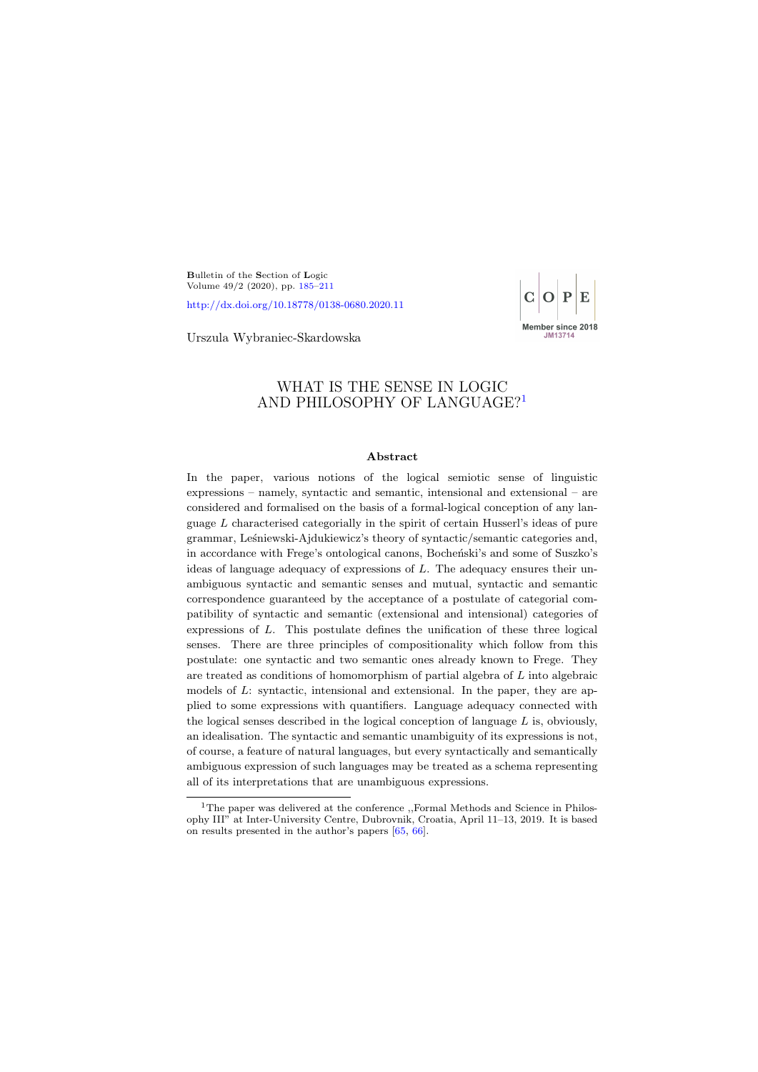<span id="page-0-0"></span>Bulletin of the Section of Logic Volume 49/2 (2020), pp. [185–](#page-0-0)[211](#page-21-0)

<http://dx.doi.org/10.18778/0138-0680.2020.11>



Urszula Wybraniec-Skardowska

# WHAT IS THE SENSE IN LOGIC AND PHILOSOPHY OF LANGUAGE?[1](#page-0-1)

#### Abstract

In the paper, various notions of the logical semiotic sense of linguistic expressions – namely, syntactic and semantic, intensional and extensional – are considered and formalised on the basis of a formal-logical conception of any language  $L$  characterised categorially in the spirit of certain Husserl's ideas of pure grammar, Leśniewski-Ajdukiewicz's theory of syntactic/semantic categories and, in accordance with Frege's ontological canons, Bocheński's and some of Suszko's ideas of language adequacy of expressions of  $L$ . The adequacy ensures their unambiguous syntactic and semantic senses and mutual, syntactic and semantic correspondence guaranteed by the acceptance of a postulate of categorial compatibility of syntactic and semantic (extensional and intensional) categories of expressions of L. This postulate defines the unification of these three logical senses. There are three principles of compositionality which follow from this postulate: one syntactic and two semantic ones already known to Frege. They are treated as conditions of homomorphism of partial algebra of L into algebraic models of  $L$ : syntactic, intensional and extensional. In the paper, they are applied to some expressions with quantifiers. Language adequacy connected with the logical senses described in the logical conception of language  $L$  is, obviously, an idealisation. The syntactic and semantic unambiguity of its expressions is not, of course, a feature of natural languages, but every syntactically and semantically ambiguous expression of such languages may be treated as a schema representing all of its interpretations that are unambiguous expressions.

<span id="page-0-1"></span><sup>&</sup>lt;sup>1</sup>The paper was delivered at the conference ,,Formal Methods and Science in Philosophy III" at Inter-University Centre, Dubrovnik, Croatia, April 11–13, 2019. It is based on results presented in the author's papers [\[65,](#page-25-0) [66\]](#page-26-0).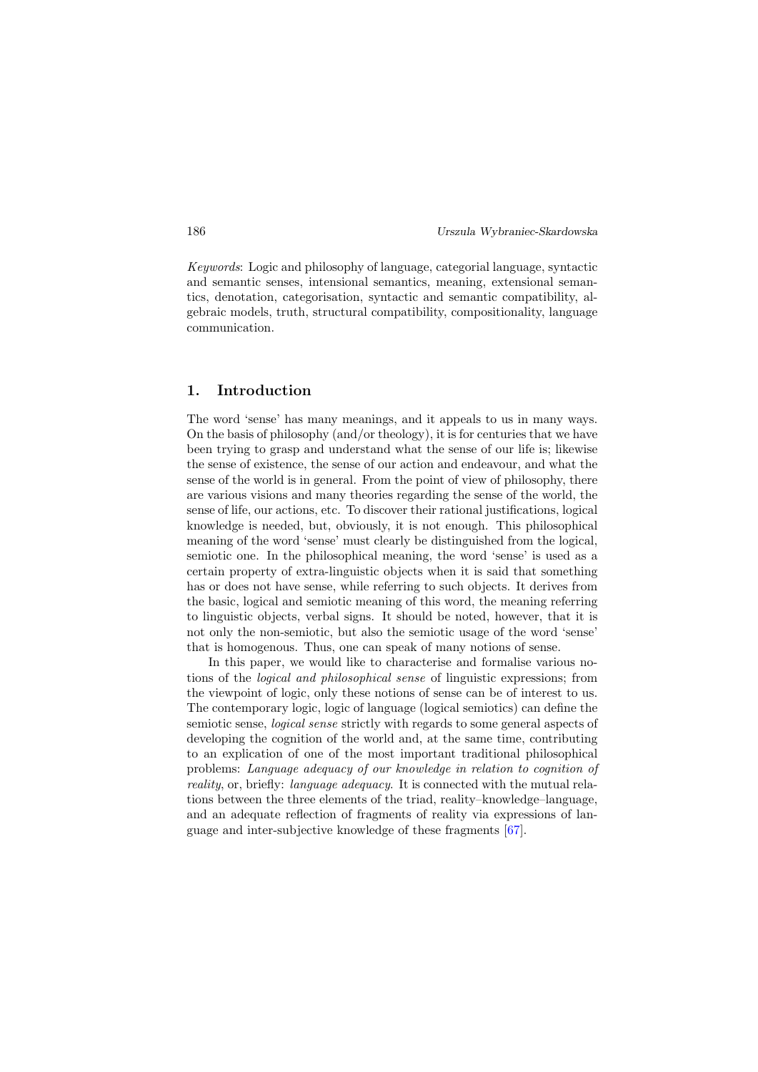Keywords: Logic and philosophy of language, categorial language, syntactic and semantic senses, intensional semantics, meaning, extensional semantics, denotation, categorisation, syntactic and semantic compatibility, algebraic models, truth, structural compatibility, compositionality, language communication.

## 1. Introduction

The word 'sense' has many meanings, and it appeals to us in many ways. On the basis of philosophy (and/or theology), it is for centuries that we have been trying to grasp and understand what the sense of our life is; likewise the sense of existence, the sense of our action and endeavour, and what the sense of the world is in general. From the point of view of philosophy, there are various visions and many theories regarding the sense of the world, the sense of life, our actions, etc. To discover their rational justifications, logical knowledge is needed, but, obviously, it is not enough. This philosophical meaning of the word 'sense' must clearly be distinguished from the logical, semiotic one. In the philosophical meaning, the word 'sense' is used as a certain property of extra-linguistic objects when it is said that something has or does not have sense, while referring to such objects. It derives from the basic, logical and semiotic meaning of this word, the meaning referring to linguistic objects, verbal signs. It should be noted, however, that it is not only the non-semiotic, but also the semiotic usage of the word 'sense' that is homogenous. Thus, one can speak of many notions of sense.

In this paper, we would like to characterise and formalise various notions of the logical and philosophical sense of linguistic expressions; from the viewpoint of logic, only these notions of sense can be of interest to us. The contemporary logic, logic of language (logical semiotics) can define the semiotic sense, logical sense strictly with regards to some general aspects of developing the cognition of the world and, at the same time, contributing to an explication of one of the most important traditional philosophical problems: Language adequacy of our knowledge in relation to cognition of reality, or, briefly: language adequacy. It is connected with the mutual relations between the three elements of the triad, reality–knowledge–language, and an adequate reflection of fragments of reality via expressions of language and inter-subjective knowledge of these fragments [\[67\]](#page-26-1).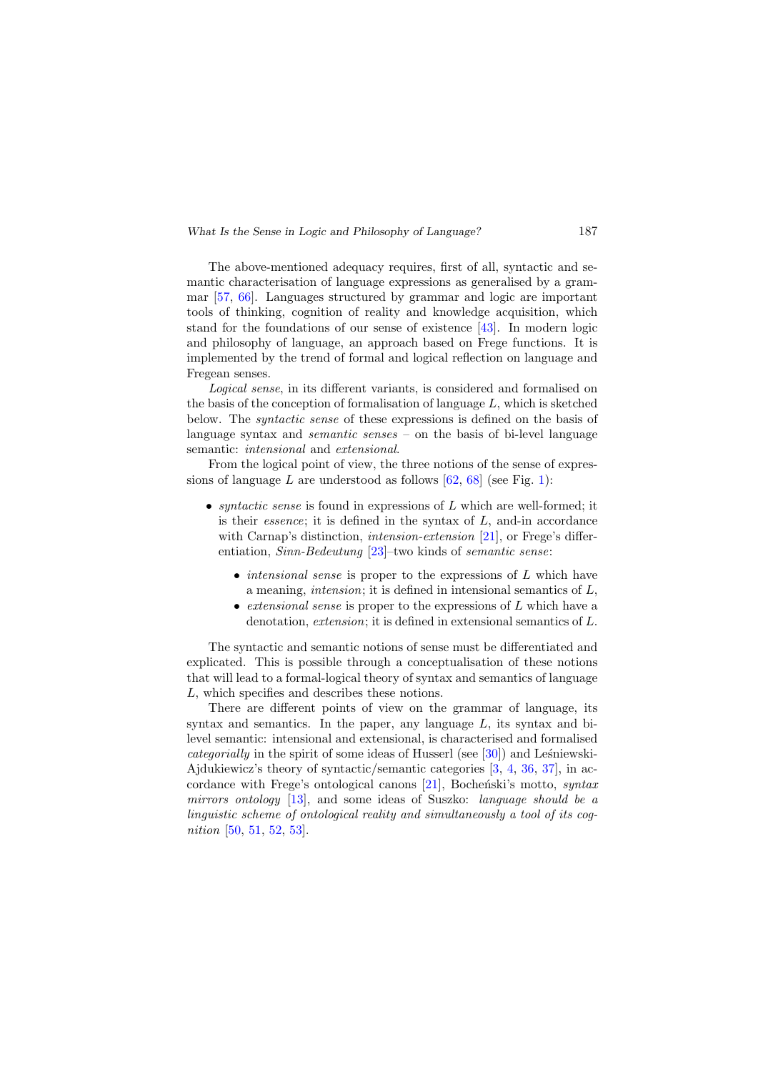The above-mentioned adequacy requires, first of all, syntactic and semantic characterisation of language expressions as generalised by a grammar [\[57,](#page-25-1) [66\]](#page-26-0). Languages structured by grammar and logic are important tools of thinking, cognition of reality and knowledge acquisition, which stand for the foundations of our sense of existence [\[43\]](#page-24-0). In modern logic and philosophy of language, an approach based on Frege functions. It is implemented by the trend of formal and logical reflection on language and Fregean senses.

Logical sense, in its different variants, is considered and formalised on the basis of the conception of formalisation of language  $L$ , which is sketched below. The syntactic sense of these expressions is defined on the basis of language syntax and *semantic senses* – on the basis of bi-level language semantic: *intensional* and *extensional*.

From the logical point of view, the three notions of the sense of expressions of language L are understood as follows  $[62, 68]$  $[62, 68]$  $[62, 68]$  (see Fig. [1\)](#page-3-0):

- *syntactic sense* is found in expressions of  $L$  which are well-formed; it is their *essence*; it is defined in the syntax of  $L$ , and-in accordance with Carnap's distinction, *intension-extension* [\[21\]](#page-22-0), or Frege's differentiation, Sinn-Bedeutung [\[23\]](#page-22-1)–two kinds of semantic sense:
	- *intensional sense* is proper to the expressions of L which have a meaning, intension; it is defined in intensional semantics of L,
	- extensional sense is proper to the expressions of  $L$  which have a denotation, extension; it is defined in extensional semantics of L.

The syntactic and semantic notions of sense must be differentiated and explicated. This is possible through a conceptualisation of these notions that will lead to a formal-logical theory of syntax and semantics of language L, which specifies and describes these notions.

There are different points of view on the grammar of language, its syntax and semantics. In the paper, any language  $L$ , its syntax and bilevel semantic: intensional and extensional, is characterised and formalised *categorially* in the spirit of some ideas of Husserl (see  $[30]$ ) and Leśniewski-Ajdukiewicz's theory of syntactic/semantic categories [\[3,](#page-21-1) [4,](#page-21-2) [36,](#page-23-1) [37\]](#page-23-2), in accordance with Frege's ontological canons  $[21]$ , Bocheński's motto, syntax mirrors ontology [\[13\]](#page-22-2), and some ideas of Suszko: language should be a linguistic scheme of ontological reality and simultaneously a tool of its cognition [\[50,](#page-24-1) [51,](#page-24-2) [52,](#page-24-3) [53\]](#page-24-4).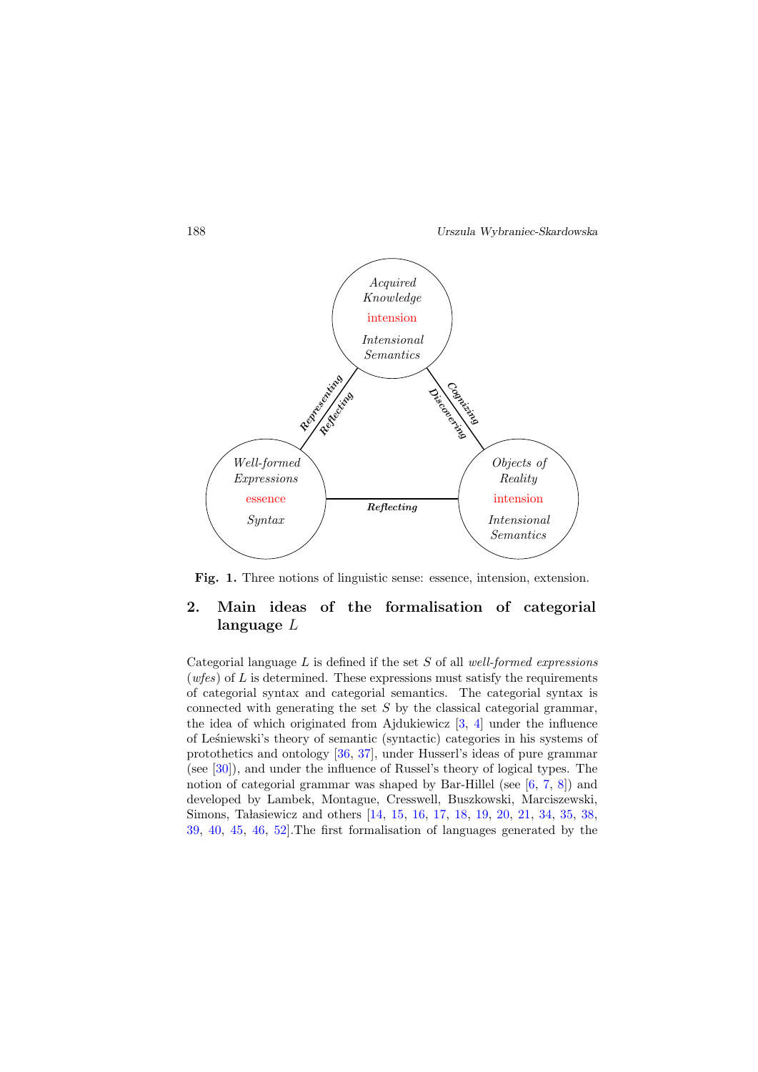

<span id="page-3-0"></span>Fig. 1. Three notions of linguistic sense: essence, intension, extension.

# 2. Main ideas of the formalisation of categorial language L

Categorial language  $L$  is defined if the set  $S$  of all well-formed expressions (wfes) of  $L$  is determined. These expressions must satisfy the requirements of categorial syntax and categorial semantics. The categorial syntax is connected with generating the set  $S$  by the classical categorial grammar, the idea of which originated from Ajdukiewicz [\[3,](#page-21-1) [4\]](#page-21-2) under the influence of Le´sniewski's theory of semantic (syntactic) categories in his systems of protothetics and ontology [\[36,](#page-23-1) [37\]](#page-23-2), under Husserl's ideas of pure grammar (see [\[30\]](#page-23-0)), and under the influence of Russel's theory of logical types. The notion of categorial grammar was shaped by Bar-Hillel (see  $[6, 7, 8]$  $[6, 7, 8]$  $[6, 7, 8]$  $[6, 7, 8]$  $[6, 7, 8]$ ) and developed by Lambek, Montague, Cresswell, Buszkowski, Marciszewski, Simons, Ta lasiewicz and others [\[14,](#page-22-3) [15,](#page-22-4) [16,](#page-22-5) [17,](#page-22-6) [18,](#page-22-7) [19,](#page-22-8) [20,](#page-22-9) [21,](#page-22-0) [34,](#page-23-3) [35,](#page-23-4) [38,](#page-23-5) [39,](#page-23-6) [40,](#page-24-5) [45,](#page-24-6) [46,](#page-24-7) [52\]](#page-24-3).The first formalisation of languages generated by the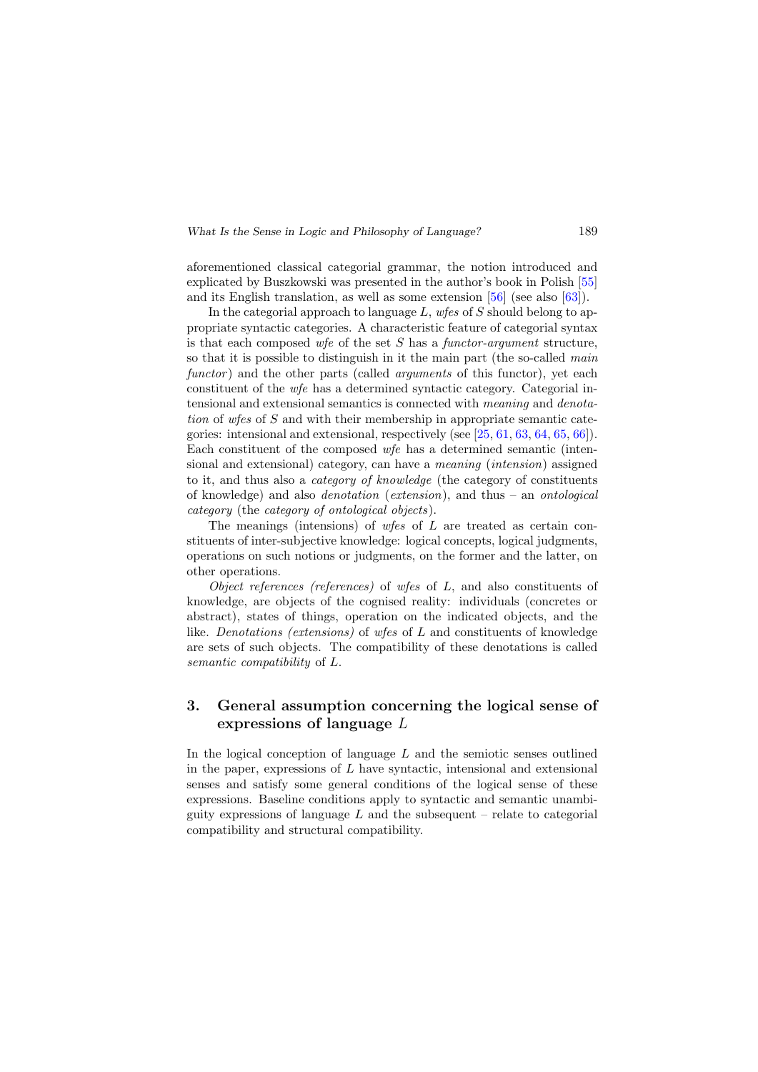aforementioned classical categorial grammar, the notion introduced and explicated by Buszkowski was presented in the author's book in Polish [\[55\]](#page-25-3) and its English translation, as well as some extension [\[56\]](#page-25-4) (see also [\[63\]](#page-25-5)).

In the categorial approach to language  $L$ , wfes of  $S$  should belong to appropriate syntactic categories. A characteristic feature of categorial syntax is that each composed wfe of the set  $S$  has a functor-argument structure, so that it is possible to distinguish in it the main part (the so-called main functor) and the other parts (called *arguments* of this functor), yet each constituent of the wfe has a determined syntactic category. Categorial intensional and extensional semantics is connected with meaning and denotation of wfes of S and with their membership in appropriate semantic categories: intensional and extensional, respectively (see  $[25, 61, 63, 64, 65, 66]$  $[25, 61, 63, 64, 65, 66]$  $[25, 61, 63, 64, 65, 66]$  $[25, 61, 63, 64, 65, 66]$  $[25, 61, 63, 64, 65, 66]$  $[25, 61, 63, 64, 65, 66]$  $[25, 61, 63, 64, 65, 66]$  $[25, 61, 63, 64, 65, 66]$  $[25, 61, 63, 64, 65, 66]$  $[25, 61, 63, 64, 65, 66]$  $[25, 61, 63, 64, 65, 66]$ ). Each constituent of the composed wfe has a determined semantic (intensional and extensional) category, can have a meaning (intension) assigned to it, and thus also a category of knowledge (the category of constituents of knowledge) and also denotation (extension), and thus – an ontological category (the category of ontological objects).

The meanings (intensions) of wfes of L are treated as certain constituents of inter-subjective knowledge: logical concepts, logical judgments, operations on such notions or judgments, on the former and the latter, on other operations.

Object references (references) of wfes of L, and also constituents of knowledge, are objects of the cognised reality: individuals (concretes or abstract), states of things, operation on the indicated objects, and the like. Denotations (extensions) of wfes of L and constituents of knowledge are sets of such objects. The compatibility of these denotations is called semantic compatibility of L.

# 3. General assumption concerning the logical sense of expressions of language L

In the logical conception of language  $L$  and the semiotic senses outlined in the paper, expressions of  $L$  have syntactic, intensional and extensional senses and satisfy some general conditions of the logical sense of these expressions. Baseline conditions apply to syntactic and semantic unambiguity expressions of language  $L$  and the subsequent – relate to categorial compatibility and structural compatibility.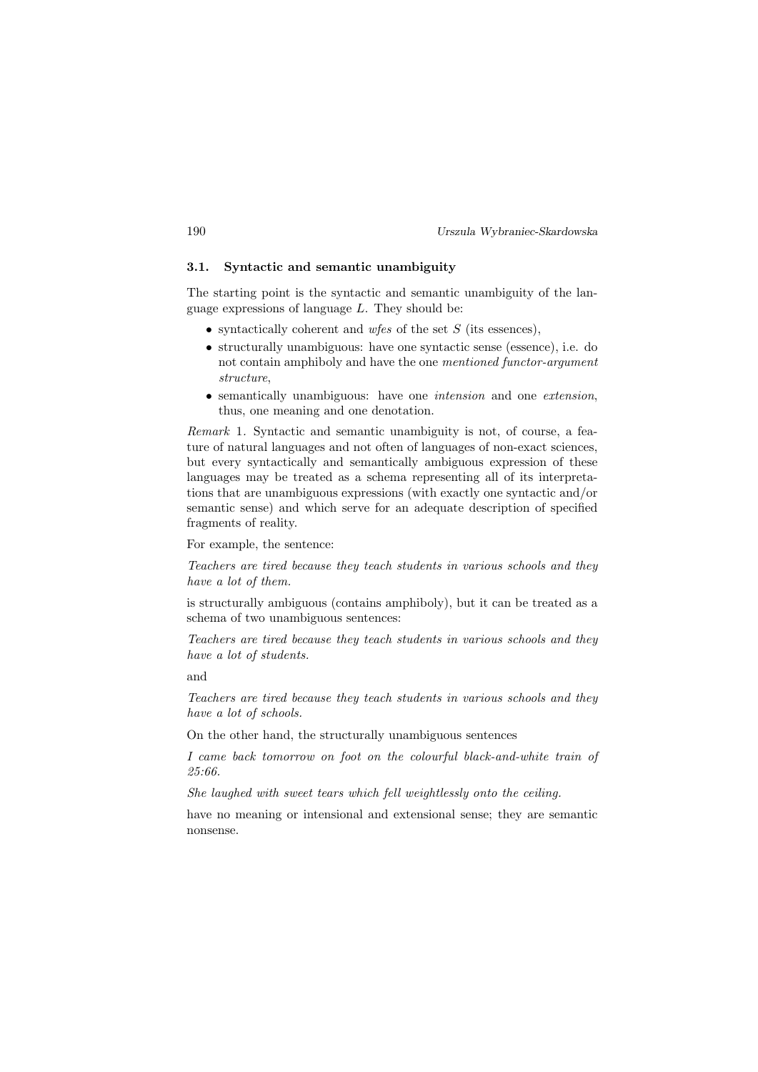# 3.1. Syntactic and semantic unambiguity

The starting point is the syntactic and semantic unambiguity of the language expressions of language  $L$ . They should be:

- syntactically coherent and wfes of the set  $S$  (its essences).
- structurally unambiguous: have one syntactic sense (essence), i.e. do not contain amphiboly and have the one mentioned functor-argument structure,
- semantically unambiguous: have one *intension* and one *extension*, thus, one meaning and one denotation.

Remark 1. Syntactic and semantic unambiguity is not, of course, a feature of natural languages and not often of languages of non-exact sciences, but every syntactically and semantically ambiguous expression of these languages may be treated as a schema representing all of its interpretations that are unambiguous expressions (with exactly one syntactic and/or semantic sense) and which serve for an adequate description of specified fragments of reality.

For example, the sentence:

Teachers are tired because they teach students in various schools and they have a lot of them.

is structurally ambiguous (contains amphiboly), but it can be treated as a schema of two unambiguous sentences:

Teachers are tired because they teach students in various schools and they have a lot of students.

and

Teachers are tired because they teach students in various schools and they have a lot of schools.

On the other hand, the structurally unambiguous sentences

I came back tomorrow on foot on the colourful black-and-white train of  $25.66$ 

She laughed with sweet tears which fell weightlessly onto the ceiling.

have no meaning or intensional and extensional sense; they are semantic nonsense.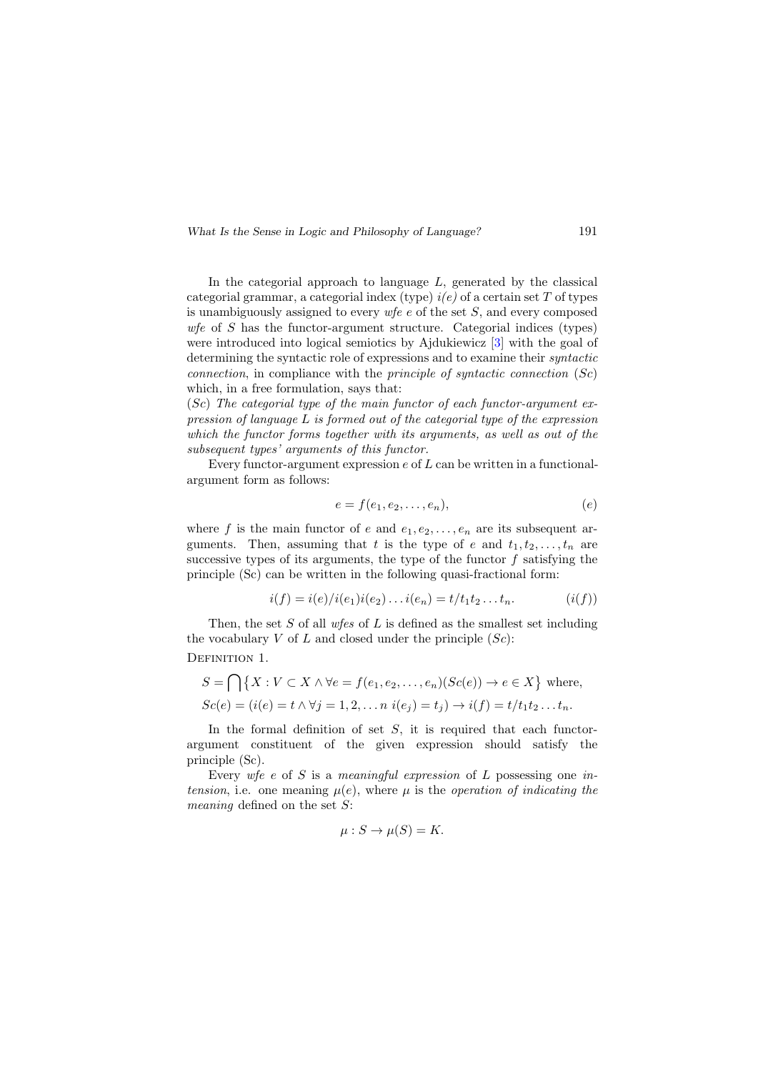In the categorial approach to language  $L$ , generated by the classical categorial grammar, a categorial index (type)  $i(e)$  of a certain set T of types is unambiguously assigned to every  $wfe$  e of the set S, and every composed wfe of  $S$  has the functor-argument structure. Categorial indices (types) were introduced into logical semiotics by Ajdukiewicz [\[3\]](#page-21-1) with the goal of determining the syntactic role of expressions and to examine their syntactic connection, in compliance with the *principle of syntactic connection*  $(Sc)$ which, in a free formulation, says that:

 $(Sc)$  The categorial type of the main functor of each functor-argument expression of language L is formed out of the categorial type of the expression which the functor forms together with its arguments, as well as out of the subsequent types' arguments of this functor.

Every functor-argument expression  $e$  of  $L$  can be written in a functionalargument form as follows:

$$
e = f(e_1, e_2, \dots, e_n), \tag{e}
$$

where f is the main functor of e and  $e_1, e_2, \ldots, e_n$  are its subsequent arguments. Then, assuming that t is the type of e and  $t_1, t_2, \ldots, t_n$  are successive types of its arguments, the type of the functor  $f$  satisfying the principle (Sc) can be written in the following quasi-fractional form:

$$
i(f) = i(e)/i(e_1)i(e_2) \dots i(e_n) = t/t_1t_2 \dots t_n.
$$
 (i(f))

Then, the set  $S$  of all wfes of  $L$  is defined as the smallest set including the vocabulary V of L and closed under the principle  $(Sc)$ : DEFINITION 1.

$$
S = \bigcap \{ X : V \subset X \land \forall e = f(e_1, e_2, \dots, e_n)(Sc(e)) \to e \in X \} \text{ where,}
$$
  
\n
$$
Sc(e) = (i(e) = t \land \forall j = 1, 2, \dots n \; i(e_j) = t_j) \to i(f) = t/t_1t_2 \dots t_n.
$$

In the formal definition of set  $S$ , it is required that each functorargument constituent of the given expression should satisfy the principle (Sc).

Every wfe e of S is a meaningful expression of L possessing one intension, i.e. one meaning  $\mu(e)$ , where  $\mu$  is the operation of indicating the meaning defined on the set S:

$$
\mu: S \to \mu(S) = K.
$$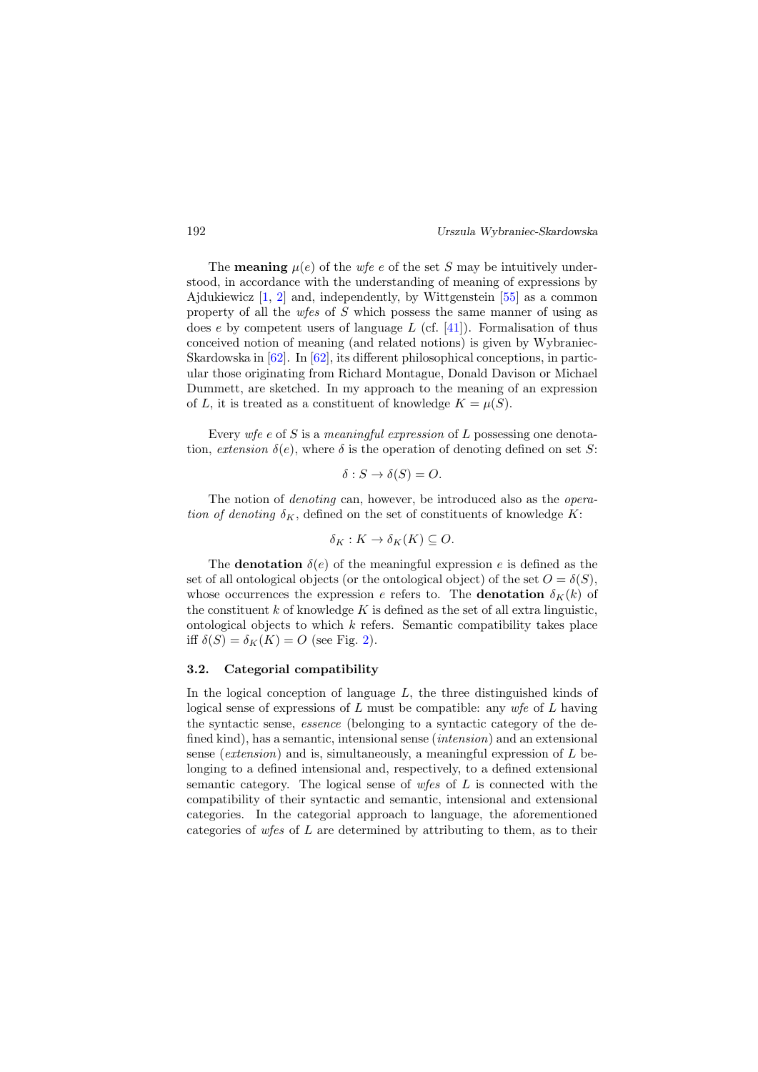The **meaning**  $\mu(e)$  of the wfe e of the set S may be intuitively understood, in accordance with the understanding of meaning of expressions by Ajdukiewicz  $[1, 2]$  $[1, 2]$  $[1, 2]$  and, independently, by Wittgenstein  $[55]$  as a common property of all the *wfes* of  $S$  which possess the same manner of using as does  $e$  by competent users of language  $L$  (cf. [\[41\]](#page-24-8)). Formalisation of thus conceived notion of meaning (and related notions) is given by Wybraniec-Skardowska in [\[62\]](#page-25-2). In [\[62\]](#page-25-2), its different philosophical conceptions, in particular those originating from Richard Montague, Donald Davison or Michael Dummett, are sketched. In my approach to the meaning of an expression of L, it is treated as a constituent of knowledge  $K = \mu(S)$ .

Every wfe e of S is a meaningful expression of L possessing one denotation, extension  $\delta(e)$ , where  $\delta$  is the operation of denoting defined on set S:

$$
\delta: S \to \delta(S) = O.
$$

The notion of *denoting* can, however, be introduced also as the *opera*tion of denoting  $\delta_K$ , defined on the set of constituents of knowledge K:

$$
\delta_K: K \to \delta_K(K) \subseteq O.
$$

The **denotation**  $\delta(e)$  of the meaningful expression e is defined as the set of all ontological objects (or the ontological object) of the set  $O = \delta(S)$ , whose occurrences the expression e refers to. The **denotation**  $\delta_K(k)$  of the constituent k of knowledge K is defined as the set of all extra linguistic, ontological objects to which  $k$  refers. Semantic compatibility takes place iff  $\delta(S) = \delta_K(K) = O$  (see Fig. [2\)](#page-8-0).

#### 3.2. Categorial compatibility

In the logical conception of language  $L$ , the three distinguished kinds of logical sense of expressions of L must be compatible: any  $wfe$  of L having the syntactic sense, essence (belonging to a syntactic category of the defined kind), has a semantic, intensional sense *(intension)* and an extensional sense (extension) and is, simultaneously, a meaningful expression of  $L$  belonging to a defined intensional and, respectively, to a defined extensional semantic category. The logical sense of  $w \text{f} \text{e}$  of  $L$  is connected with the compatibility of their syntactic and semantic, intensional and extensional categories. In the categorial approach to language, the aforementioned categories of wfes of L are determined by attributing to them, as to their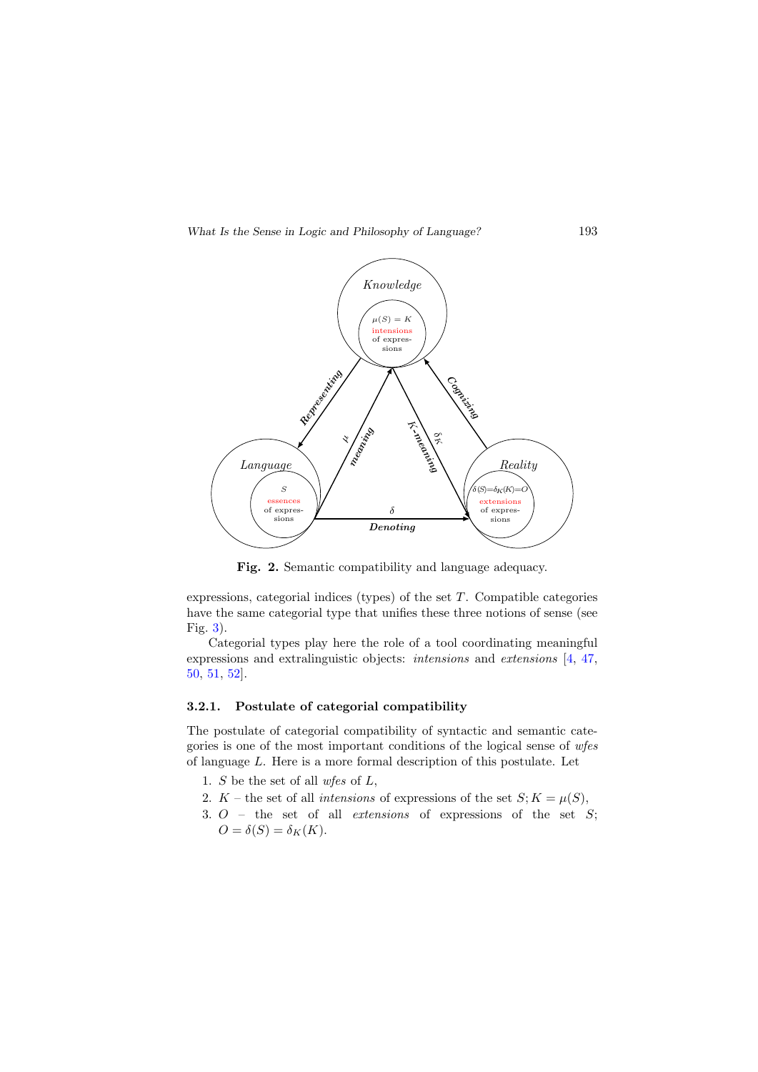

<span id="page-8-0"></span>Fig. 2. Semantic compatibility and language adequacy.

expressions, categorial indices (types) of the set  $T$ . Compatible categories have the same categorial type that unifies these three notions of sense (see Fig. [3\)](#page-9-0).

Categorial types play here the role of a tool coordinating meaningful expressions and extralinguistic objects: intensions and extensions [\[4,](#page-21-2) [47,](#page-24-9) [50,](#page-24-1) [51,](#page-24-2) [52\]](#page-24-3).

### 3.2.1. Postulate of categorial compatibility

The postulate of categorial compatibility of syntactic and semantic categories is one of the most important conditions of the logical sense of wfes of language L. Here is a more formal description of this postulate. Let

- 1. S be the set of all wfes of L,
- 2. K the set of all *intensions* of expressions of the set  $S; K = \mu(S)$ ,
- 3.  $O$  the set of all *extensions* of expressions of the set  $S$ ;  $O = \delta(S) = \delta_K(K).$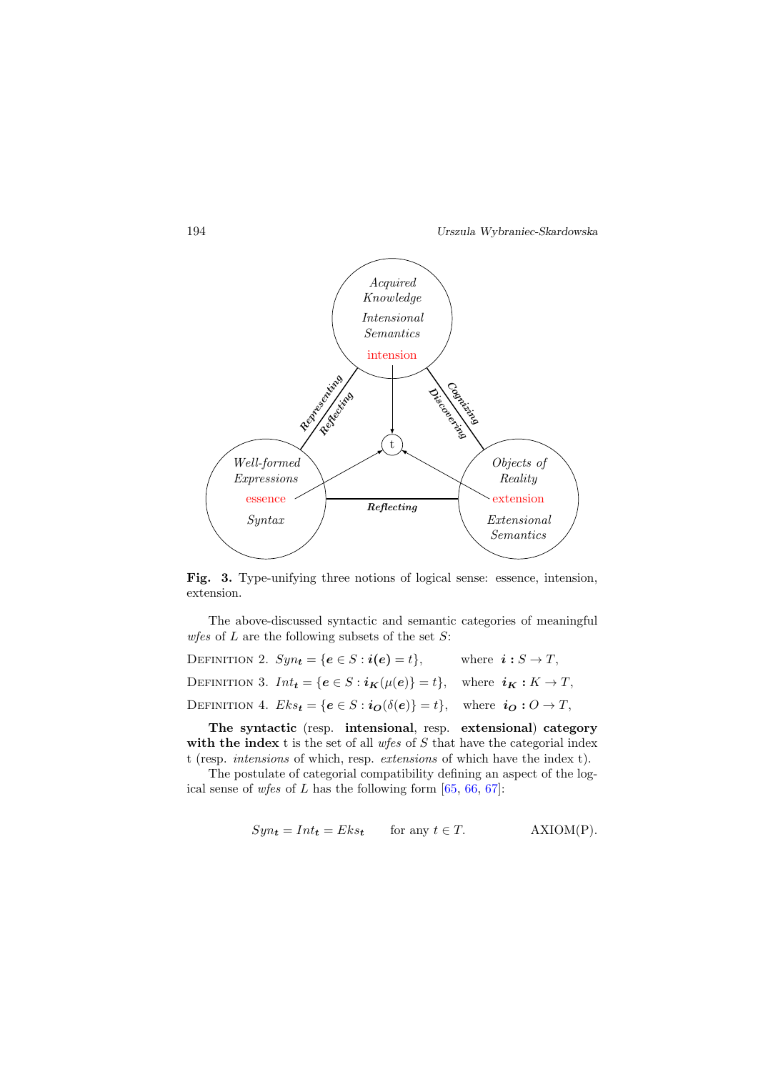

<span id="page-9-0"></span>Fig. 3. Type-unifying three notions of logical sense: essence, intension, extension.

The above-discussed syntactic and semantic categories of meaningful *wfes* of  $L$  are the following subsets of the set  $S$ :

<span id="page-9-1"></span>DEFINITION 2.  $Syn_t = \{e \in S : i(e) = t\},\$  where  $i: S \to T$ , DEFINITION 3.  $Int_{t} = \{e \in S : i_{\mathbf{K}}(\mu(e))\} = t\}$ , where  $i_{\mathbf{K}} : K \to T$ , DEFINITION 4.  $Eks_t = \{e \in S : i_{\boldsymbol{O}}(\delta(e))\} = t\}$ , where  $i_{\boldsymbol{O}}: O \to T$ ,

<span id="page-9-2"></span>The syntactic (resp. intensional, resp. extensional) category with the index t is the set of all  $w$ fes of S that have the categorial index t (resp. intensions of which, resp. extensions of which have the index t).

The postulate of categorial compatibility defining an aspect of the logical sense of wfes of L has the following form  $[65, 66, 67]$  $[65, 66, 67]$  $[65, 66, 67]$  $[65, 66, 67]$  $[65, 66, 67]$ :

$$
Syn_t = Int_t = Eks_t \qquad \text{for any } t \in T. \tag{ANIM(P)}.
$$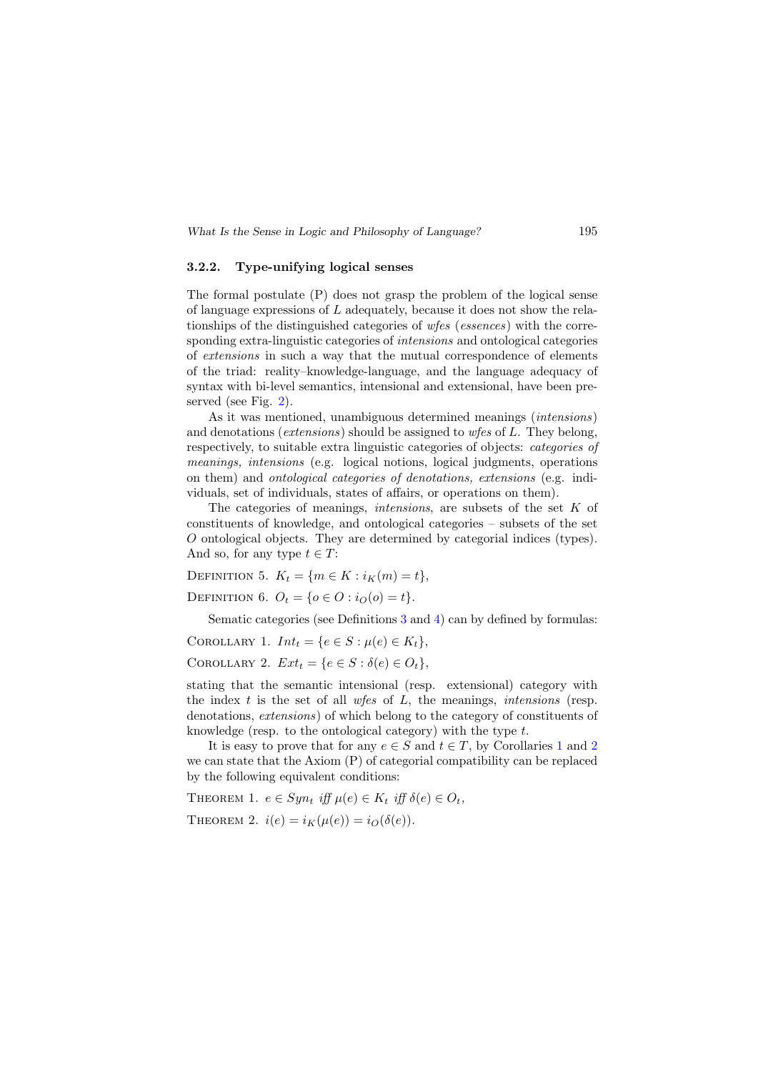#### 3.2.2. Type-unifying logical senses

The formal postulate (P) does not grasp the problem of the logical sense of language expressions of  $L$  adequately, because it does not show the relationships of the distinguished categories of wfes (essences) with the corresponding extra-linguistic categories of *intensions* and ontological categories of extensions in such a way that the mutual correspondence of elements of the triad: reality–knowledge-language, and the language adequacy of syntax with bi-level semantics, intensional and extensional, have been preserved (see Fig. [2\)](#page-8-0).

As it was mentioned, unambiguous determined meanings (intensions) and denotations (*extensions*) should be assigned to *wfes* of L. They belong, respectively, to suitable extra linguistic categories of objects: categories of meanings, intensions (e.g. logical notions, logical judgments, operations on them) and ontological categories of denotations, extensions (e.g. individuals, set of individuals, states of affairs, or operations on them).

The categories of meanings, *intensions*, are subsets of the set  $K$  of constituents of knowledge, and ontological categories – subsets of the set O ontological objects. They are determined by categorial indices (types). And so, for any type  $t \in T$ :

DEFINITION 5.  $K_t = \{m \in K : i_K(m) = t\},\$ 

DEFINITION 6.  $O_t = \{o \in O : i_O(o) = t\}.$ 

Sematic categories (see Definitions [3](#page-9-1) and [4\)](#page-9-2) can by defined by formulas:

<span id="page-10-1"></span><span id="page-10-0"></span>COROLLARY 1.  $Int_t = \{e \in S : \mu(e) \in K_t\},\$ COROLLARY 2.  $Ext_t = \{e \in S : \delta(e) \in O_t\},\$ 

stating that the semantic intensional (resp. extensional) category with the index  $t$  is the set of all  $w \textit{fes}$  of  $L$ , the meanings, *intensions* (resp. denotations, extensions) of which belong to the category of constituents of knowledge (resp. to the ontological category) with the type t.

It is easy to prove that for any  $e \in S$  and  $t \in T$ , by Corollaries [1](#page-10-0) and [2](#page-10-1) we can state that the Axiom (P) of categorial compatibility can be replaced by the following equivalent conditions:

<span id="page-10-2"></span>THEOREM 1.  $e \in Sym_t$  iff  $\mu(e) \in K_t$  iff  $\delta(e) \in O_t$ , THEOREM 2.  $i(e) = i_K(\mu(e)) = i_O(\delta(e)).$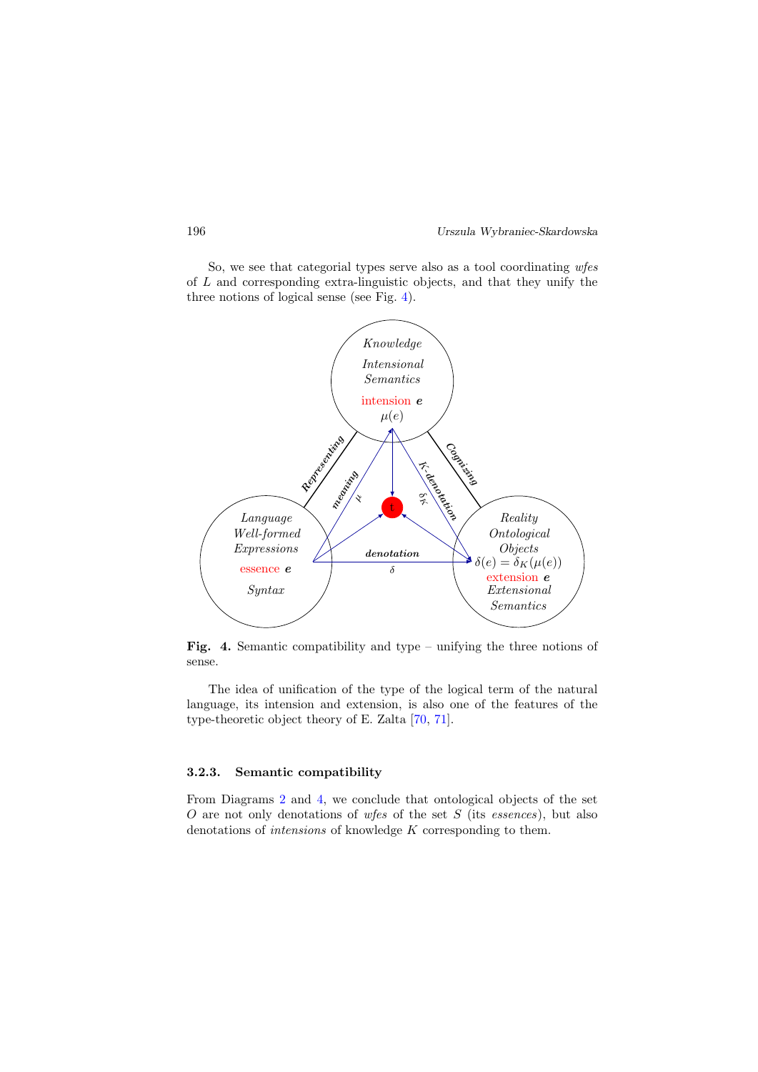So, we see that categorial types serve also as a tool coordinating wfes of L and corresponding extra-linguistic objects, and that they unify the three notions of logical sense (see Fig. [4\)](#page-11-0).



<span id="page-11-0"></span>**Fig. 4.** Semantic compatibility and type – unifying the three notions of sense.

The idea of unification of the type of the logical term of the natural language, its intension and extension, is also one of the features of the type-theoretic object theory of E. Zalta [\[70,](#page-26-3) [71\]](#page-26-4).

#### 3.2.3. Semantic compatibility

From Diagrams [2](#page-8-0) and [4,](#page-11-0) we conclude that ontological objects of the set O are not only denotations of wfes of the set  $S$  (its essences), but also denotations of intensions of knowledge K corresponding to them.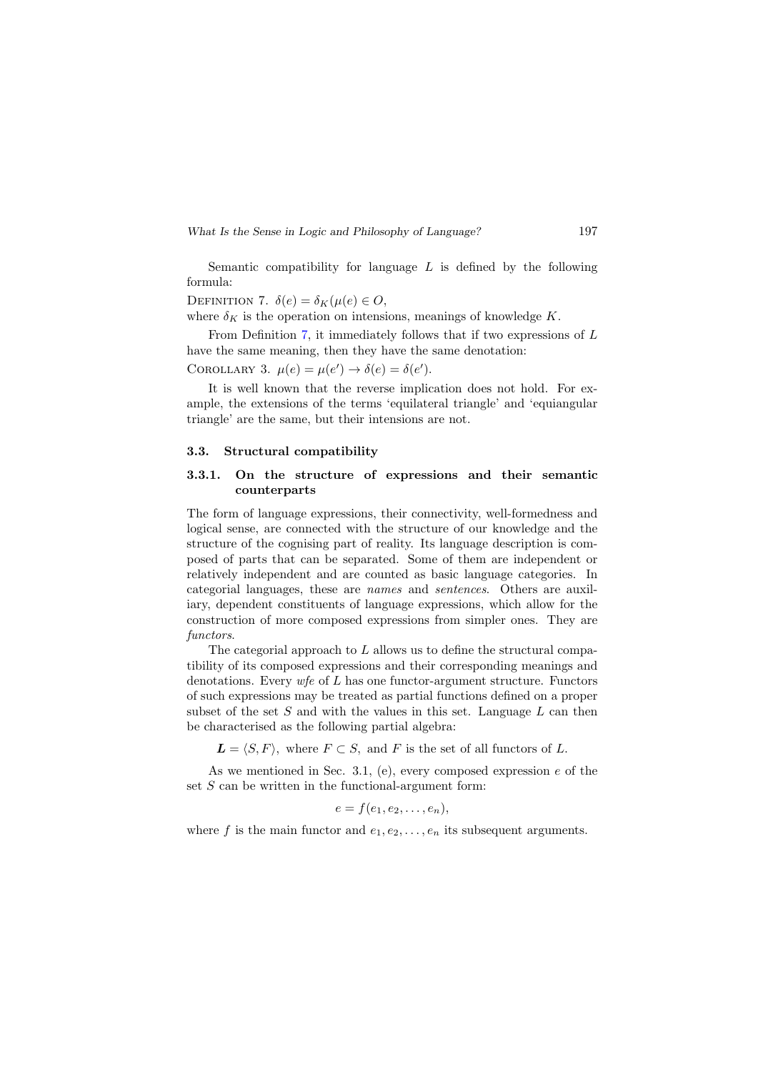Semantic compatibility for language  $L$  is defined by the following formula:

<span id="page-12-0"></span>DEFINITION 7.  $\delta(e) = \delta_K(\mu(e)) \in O$ ,

where  $\delta_K$  is the operation on intensions, meanings of knowledge K.

From Definition [7,](#page-12-0) it immediately follows that if two expressions of L have the same meaning, then they have the same denotation:

COROLLARY 3.  $\mu(e) = \mu(e') \rightarrow \delta(e) = \delta(e')$ .

It is well known that the reverse implication does not hold. For example, the extensions of the terms 'equilateral triangle' and 'equiangular triangle' are the same, but their intensions are not.

#### 3.3. Structural compatibility

## 3.3.1. On the structure of expressions and their semantic counterparts

The form of language expressions, their connectivity, well-formedness and logical sense, are connected with the structure of our knowledge and the structure of the cognising part of reality. Its language description is composed of parts that can be separated. Some of them are independent or relatively independent and are counted as basic language categories. In categorial languages, these are names and sentences. Others are auxiliary, dependent constituents of language expressions, which allow for the construction of more composed expressions from simpler ones. They are functors.

The categorial approach to  $L$  allows us to define the structural compatibility of its composed expressions and their corresponding meanings and denotations. Every  $\psi$  of L has one functor-argument structure. Functors of such expressions may be treated as partial functions defined on a proper subset of the set S and with the values in this set. Language  $L$  can then be characterised as the following partial algebra:

 $\mathbf{L} = \langle S, F \rangle$ , where  $F \subset S$ , and F is the set of all functors of L.

As we mentioned in Sec. 3.1, (e), every composed expression  $e$  of the set  $S$  can be written in the functional-argument form:

$$
e = f(e_1, e_2, \ldots, e_n),
$$

where f is the main functor and  $e_1, e_2, \ldots, e_n$  its subsequent arguments.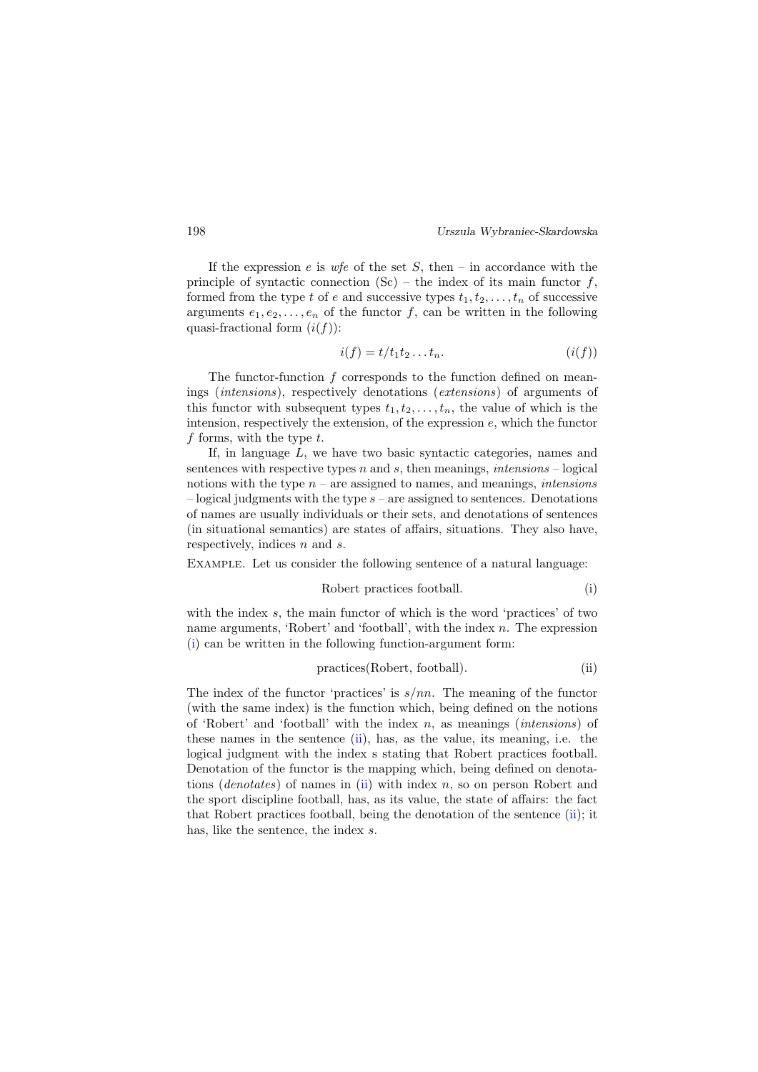If the expression  $e$  is  $\psi e$  of the set  $S$ , then – in accordance with the principle of syntactic connection  $(Sc)$  – the index of its main functor f, formed from the type t of e and successive types  $t_1, t_2, \ldots, t_n$  of successive arguments  $e_1, e_2, \ldots, e_n$  of the functor f, can be written in the following quasi-fractional form  $(i(f))$ :

<span id="page-13-2"></span>
$$
i(f) = t/t_1t_2 \dots t_n. \qquad (i(f))
$$

The functor-function  $f$  corresponds to the function defined on meanings (intensions), respectively denotations (extensions) of arguments of this functor with subsequent types  $t_1, t_2, \ldots, t_n$ , the value of which is the intension, respectively the extension, of the expression  $e$ , which the functor  $f$  forms, with the type  $t$ .

If, in language L, we have two basic syntactic categories, names and sentences with respective types n and s, then meanings, intensions  $-\log$ ical notions with the type  $n -$  are assigned to names, and meanings, *intensions*  $-$  logical judgments with the type  $s$  – are assigned to sentences. Denotations of names are usually individuals or their sets, and denotations of sentences (in situational semantics) are states of affairs, situations. They also have, respectively, indices *n* and *s*.

Example. Let us consider the following sentence of a natural language:

<span id="page-13-0"></span>
$$
Robert\ practices\ football.
$$
\n<sup>(i)</sup>

with the index  $s$ , the main functor of which is the word 'practices' of two name arguments, 'Robert' and 'football', with the index n. The expression [\(i\)](#page-13-0) can be written in the following function-argument form:

<span id="page-13-1"></span>
$$
practices (Robert, football). \t\t(ii)
$$

The index of the functor 'practices' is  $s/nn$ . The meaning of the functor (with the same index) is the function which, being defined on the notions of 'Robert' and 'football' with the index  $n$ , as meanings *(intensions)* of these names in the sentence  $(ii)$ , has, as the value, its meaning, i.e. the logical judgment with the index s stating that Robert practices football. Denotation of the functor is the mapping which, being defined on denotations (*denotates*) of names in [\(ii\)](#page-13-1) with index  $n$ , so on person Robert and the sport discipline football, has, as its value, the state of affairs: the fact that Robert practices football, being the denotation of the sentence [\(ii\)](#page-13-1); it has, like the sentence, the index s.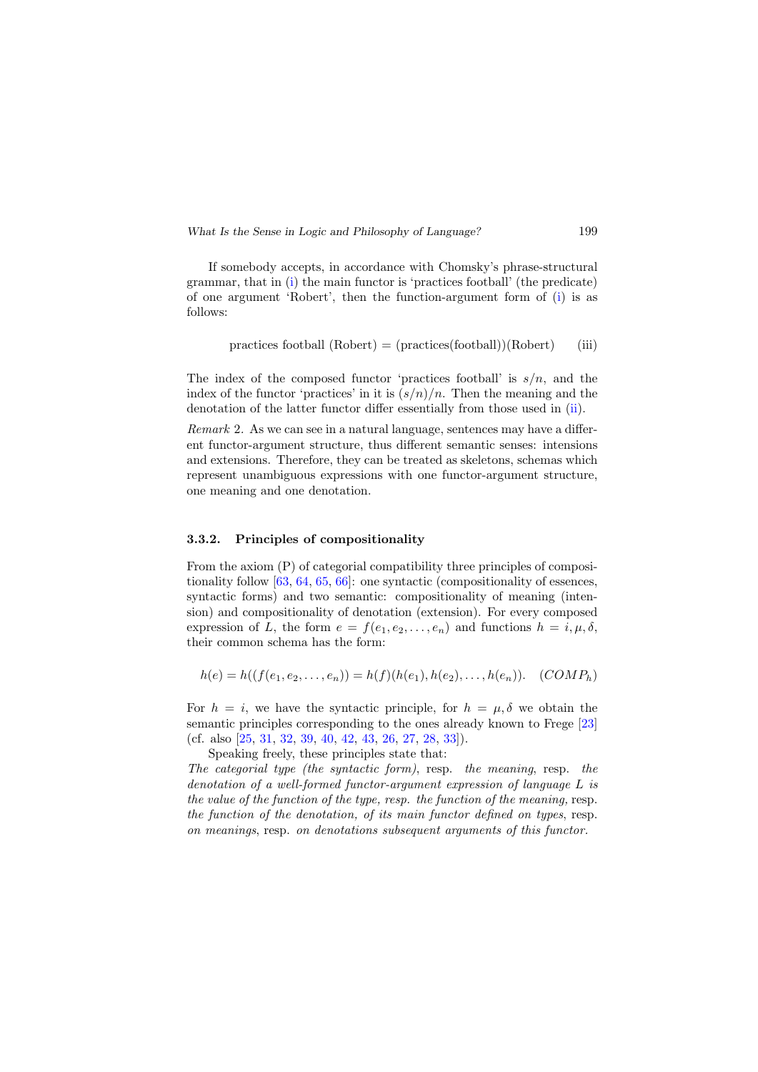If somebody accepts, in accordance with Chomsky's phrase-structural grammar, that in [\(i\)](#page-13-0) the main functor is 'practices football' (the predicate) of one argument 'Robert', then the function-argument form of [\(i\)](#page-13-0) is as follows:

$$
practices football (Robert) = (practices (football))(Robert)
$$
 (iii)

The index of the composed functor 'practices football' is  $s/n$ , and the index of the functor 'practices' in it is  $(s/n)/n$ . Then the meaning and the denotation of the latter functor differ essentially from those used in [\(ii\)](#page-13-1).

Remark 2. As we can see in a natural language, sentences may have a different functor-argument structure, thus different semantic senses: intensions and extensions. Therefore, they can be treated as skeletons, schemas which represent unambiguous expressions with one functor-argument structure, one meaning and one denotation.

#### 3.3.2. Principles of compositionality

From the axiom (P) of categorial compatibility three principles of compositionality follow [\[63,](#page-25-5) [64,](#page-25-7) [65,](#page-25-0) [66\]](#page-26-0): one syntactic (compositionality of essences, syntactic forms) and two semantic: compositionality of meaning (intension) and compositionality of denotation (extension). For every composed expression of L, the form  $e = f(e_1, e_2, \ldots, e_n)$  and functions  $h = i, \mu, \delta$ , their common schema has the form:

$$
h(e) = h((f(e_1, e_2, \ldots, e_n)) = h(f)(h(e_1), h(e_2), \ldots, h(e_n)).
$$
 (COMP<sub>h</sub>)

For  $h = i$ , we have the syntactic principle, for  $h = \mu$ ,  $\delta$  we obtain the semantic principles corresponding to the ones already known to Frege [\[23\]](#page-22-1) (cf. also [\[25,](#page-22-10) [31,](#page-23-7) [32,](#page-23-8) [39,](#page-23-6) [40,](#page-24-5) [42,](#page-24-10) [43,](#page-24-0) [26,](#page-23-9) [27,](#page-23-10) [28,](#page-23-11) [33\]](#page-23-12)).

Speaking freely, these principles state that: The categorial type (the syntactic form), resp. the meaning, resp. the denotation of a well-formed functor-argument expression of language L is the value of the function of the type, resp. the function of the meaning, resp. the function of the denotation, of its main functor defined on types, resp. on meanings, resp. on denotations subsequent arguments of this functor.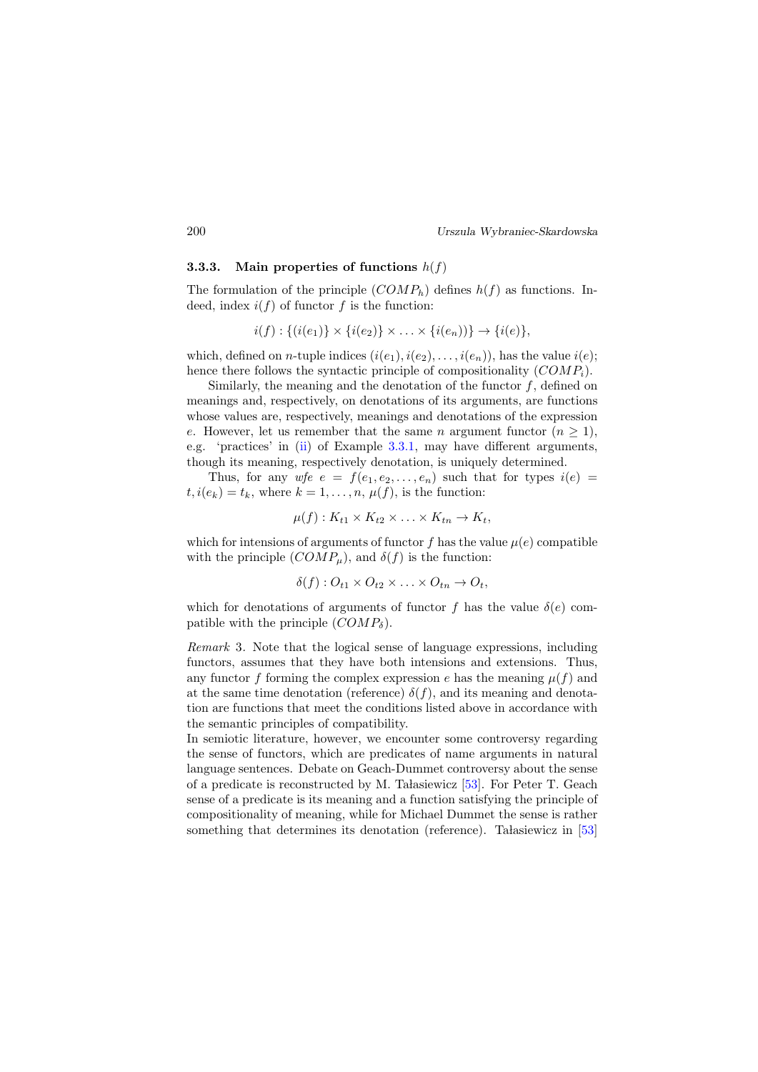#### 3.3.3. Main properties of functions  $h(f)$

The formulation of the principle  $(COMP_h)$  defines  $h(f)$  as functions. Indeed, index  $i(f)$  of functor f is the function:

$$
i(f) : \{(i(e_1)) \times \{i(e_2)\} \times \ldots \times \{i(e_n)\}\} \to \{i(e)\},\
$$

which, defined on *n*-tuple indices  $(i(e_1), i(e_2), \ldots, i(e_n))$ , has the value  $i(e)$ ; hence there follows the syntactic principle of compositionality  $(COMP_i)$ .

Similarly, the meaning and the denotation of the functor  $f$ , defined on meanings and, respectively, on denotations of its arguments, are functions whose values are, respectively, meanings and denotations of the expression e. However, let us remember that the same n argument functor  $(n \geq 1)$ , e.g. 'practices' in [\(ii\)](#page-13-1) of Example [3.3.1,](#page-13-2) may have different arguments, though its meaning, respectively denotation, is uniquely determined.

Thus, for any wfe  $e = f(e_1, e_2, \ldots, e_n)$  such that for types  $i(e)$  $t, i(e_k) = t_k$ , where  $k = 1, \ldots, n, \mu(f)$ , is the function:

$$
\mu(f): K_{t1} \times K_{t2} \times \ldots \times K_{tn} \to K_t,
$$

which for intensions of arguments of functor f has the value  $\mu(e)$  compatible with the principle  $(COMP_\mu)$ , and  $\delta(f)$  is the function:

$$
\delta(f): O_{t1} \times O_{t2} \times \ldots \times O_{tn} \to O_t,
$$

which for denotations of arguments of functor f has the value  $\delta(e)$  compatible with the principle  $(COMP_\delta)$ .

Remark 3. Note that the logical sense of language expressions, including functors, assumes that they have both intensions and extensions. Thus, any functor f forming the complex expression e has the meaning  $\mu(f)$  and at the same time denotation (reference)  $\delta(f)$ , and its meaning and denotation are functions that meet the conditions listed above in accordance with the semantic principles of compatibility.

In semiotic literature, however, we encounter some controversy regarding the sense of functors, which are predicates of name arguments in natural language sentences. Debate on Geach-Dummet controversy about the sense of a predicate is reconstructed by M. Ta assiewicz  $[53]$ . For Peter T. Geach sense of a predicate is its meaning and a function satisfying the principle of compositionality of meaning, while for Michael Dummet the sense is rather something that determines its denotation (reference). Ta dasiewicz in  $[53]$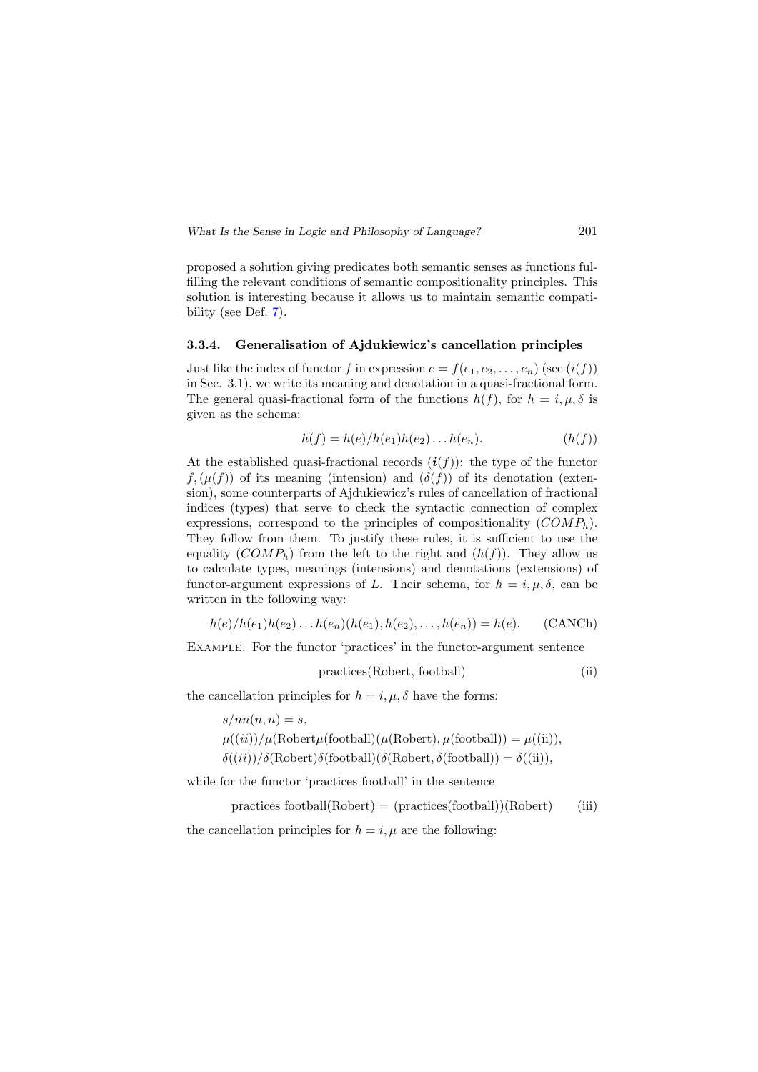proposed a solution giving predicates both semantic senses as functions fulfilling the relevant conditions of semantic compositionality principles. This solution is interesting because it allows us to maintain semantic compatibility (see Def. [7\)](#page-12-0).

#### 3.3.4. Generalisation of Ajdukiewicz's cancellation principles

Just like the index of functor f in expression  $e = f(e_1, e_2, \ldots, e_n)$  (see  $(i(f))$ ) in Sec. 3.1), we write its meaning and denotation in a quasi-fractional form. The general quasi-fractional form of the functions  $h(f)$ , for  $h = i, \mu, \delta$  is given as the schema:

$$
h(f) = h(e)/h(e_1)h(e_2)...h(e_n).
$$
 (h(f))

At the established quasi-fractional records  $(i(f))$ : the type of the functor  $f,(\mu(f))$  of its meaning (intension) and  $(\delta(f))$  of its denotation (extension), some counterparts of Ajdukiewicz's rules of cancellation of fractional indices (types) that serve to check the syntactic connection of complex expressions, correspond to the principles of compositionality  $(COMP_h)$ . They follow from them. To justify these rules, it is sufficient to use the equality  $(COMP_h)$  from the left to the right and  $(h(f))$ . They allow us to calculate types, meanings (intensions) and denotations (extensions) of functor-argument expressions of L. Their schema, for  $h = i, \mu, \delta$ , can be written in the following way:

$$
h(e)/h(e_1)h(e_2)...h(e_n)(h(e_1),h(e_2),...,h(e_n))=h(e).
$$
 (CANCh)

Example. For the functor 'practices' in the functor-argument sentence

<span id="page-16-1"></span><span id="page-16-0"></span>
$$
practices (Robert, football) \t(ii)
$$

the cancellation principles for  $h = i, \mu, \delta$  have the forms:

$$
s/nn(n, n) = s,
$$
  
\n
$$
\mu((ii))/\mu(\text{Robert}\mu(\text{football})(\mu(\text{Robert}), \mu(\text{football})) = \mu((ii)),
$$
  
\n
$$
\delta((ii))/\delta(\text{Robert})\delta(\text{football})(\delta(\text{Robert}, \delta(\text{football})) = \delta((ii)),
$$

while for the functor 'practices football' in the sentence

 $practices football(Robert) = (practices(football))(Robert)$  (iii) the cancellation principles for  $h = i, \mu$  are the following: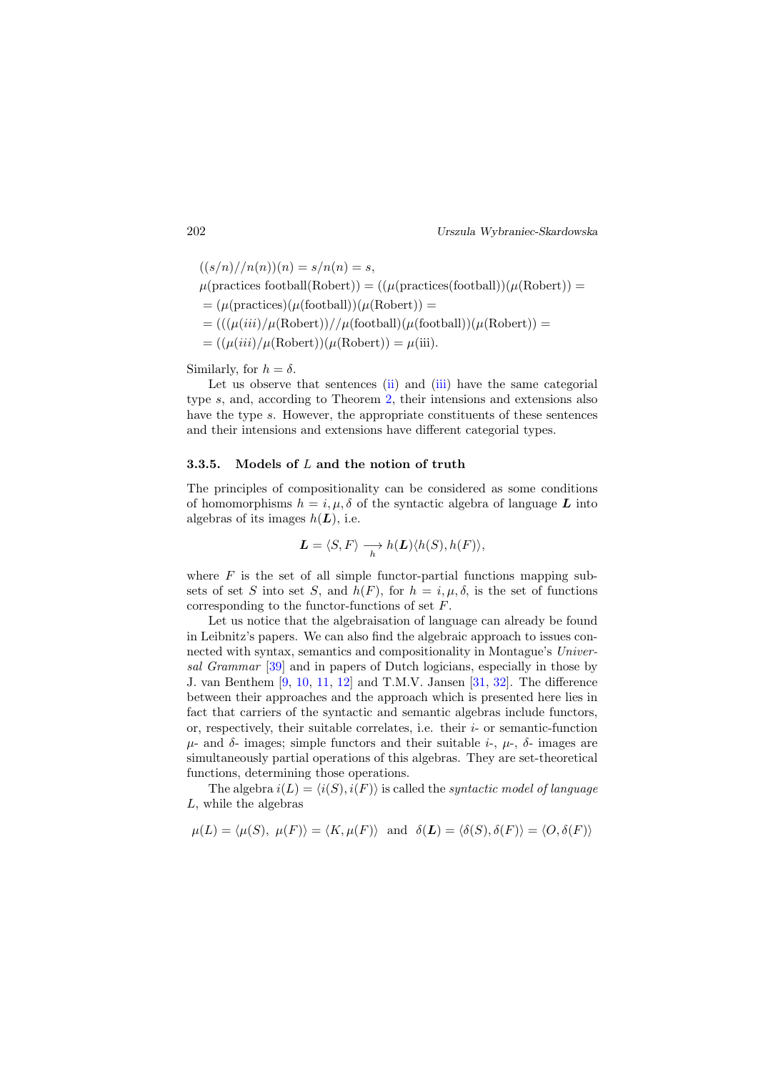$$
((s/n)//n(n))(n) = s/n(n) = s,
$$
  
\n
$$
\mu(\text{practices football(Robert)}) = ((\mu(\text{practices(football)})(\mu(\text{Robert})) =
$$
  
\n
$$
= (\mu(\text{practices})(\mu(\text{football}))(\mu(\text{Robert})) =
$$
  
\n
$$
= (((\mu(iii)/\mu(\text{Robert}))//\mu(\text{football})(\mu(\text{football}))(\mu(\text{Robert})) =
$$
  
\n
$$
= ((\mu(iii)/\mu(\text{Robert}))(\mu(\text{Robert})) = \mu(iii).
$$

Similarly, for  $h = \delta$ .

Let us observe that sentences [\(ii\)](#page-16-0) and [\(iii\)](#page-16-1) have the same categorial type s, and, according to Theorem [2,](#page-10-2) their intensions and extensions also have the type s. However, the appropriate constituents of these sentences and their intensions and extensions have different categorial types.

#### 3.3.5. Models of  $L$  and the notion of truth

The principles of compositionality can be considered as some conditions of homomorphisms  $h = i, \mu, \delta$  of the syntactic algebra of language L into algebras of its images  $h(\mathbf{L})$ , i.e.

$$
\mathbf{L}=\langle S, F\rangle \xrightarrow[h \mathbf{h}(\mathbf{L})\langle h(S), h(F)\rangle,
$$

where  $F$  is the set of all simple functor-partial functions mapping subsets of set S into set S, and  $h(F)$ , for  $h = i, \mu, \delta$ , is the set of functions corresponding to the functor-functions of set F.

Let us notice that the algebraisation of language can already be found in Leibnitz's papers. We can also find the algebraic approach to issues connected with syntax, semantics and compositionality in Montague's Universal Grammar [\[39\]](#page-23-6) and in papers of Dutch logicians, especially in those by J. van Benthem [\[9,](#page-21-8) [10,](#page-21-9) [11,](#page-21-10) [12\]](#page-22-11) and T.M.V. Jansen [\[31,](#page-23-7) [32\]](#page-23-8). The difference between their approaches and the approach which is presented here lies in fact that carriers of the syntactic and semantic algebras include functors, or, respectively, their suitable correlates, i.e. their  $i$ - or semantic-function  $\mu$ - and δ- images; simple functors and their suitable *i*-,  $\mu$ -, δ- images are simultaneously partial operations of this algebras. They are set-theoretical functions, determining those operations.

The algebra  $i(L) = \langle i(S), i(F) \rangle$  is called the *syntactic model of language* L, while the algebras

$$
\mu(L) = \langle \mu(S), \mu(F) \rangle = \langle K, \mu(F) \rangle
$$
 and  $\delta(L) = \langle \delta(S), \delta(F) \rangle = \langle O, \delta(F) \rangle$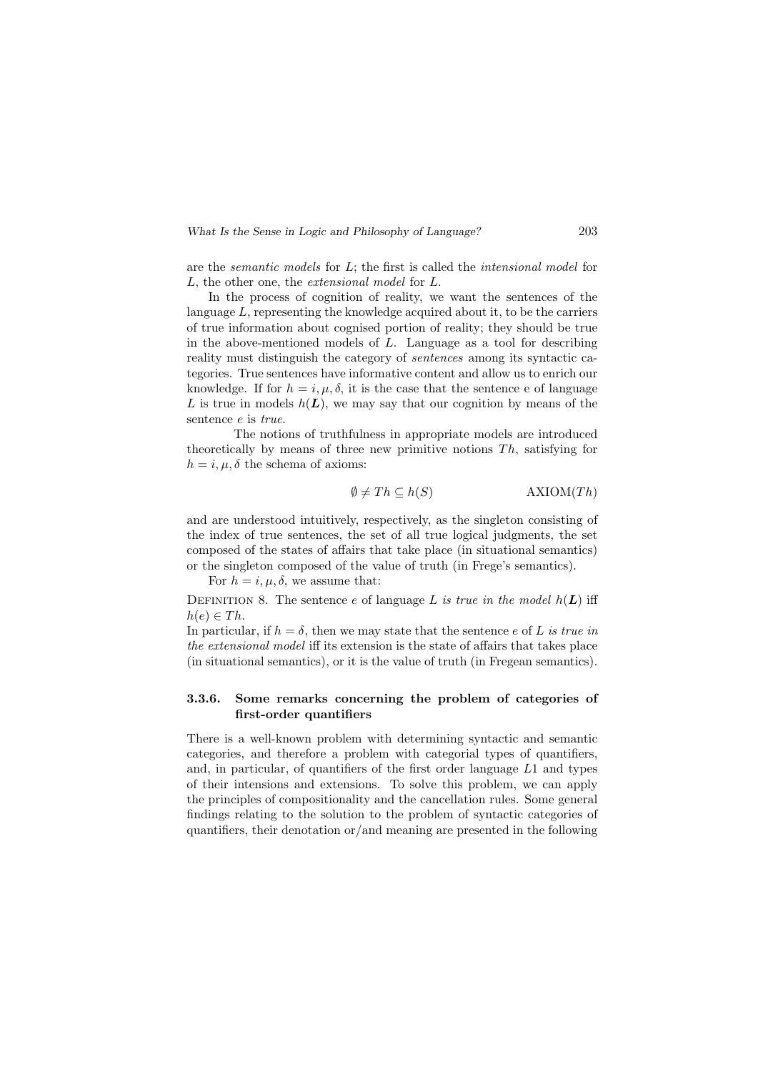are the *semantic models* for  $L$ ; the first is called the *intensional model* for L, the other one, the extensional model for L.

In the process of cognition of reality, we want the sentences of the language L, representing the knowledge acquired about it, to be the carriers of true information about cognised portion of reality; they should be true in the above-mentioned models of  $L$ . Language as a tool for describing reality must distinguish the category of sentences among its syntactic categories. True sentences have informative content and allow us to enrich our knowledge. If for  $h = i, \mu, \delta$ , it is the case that the sentence e of language L is true in models  $h(L)$ , we may say that our cognition by means of the sentence e is true.

The notions of truthfulness in appropriate models are introduced theoretically by means of three new primitive notions  $Th$ , satisfying for  $h = i, \mu, \delta$  the schema of axioms:

$$
\emptyset \neq Th \subseteq h(S) \qquad \qquad \text{AXIOM}(Th)
$$

and are understood intuitively, respectively, as the singleton consisting of the index of true sentences, the set of all true logical judgments, the set composed of the states of affairs that take place (in situational semantics) or the singleton composed of the value of truth (in Frege's semantics).

For  $h = i, \mu, \delta$ , we assume that:

DEFINITION 8. The sentence e of language L is true in the model  $h(L)$  iff  $h(e) \in Th$ .

In particular, if  $h = \delta$ , then we may state that the sentence e of L is true in the extensional model iff its extension is the state of affairs that takes place (in situational semantics), or it is the value of truth (in Fregean semantics).

## 3.3.6. Some remarks concerning the problem of categories of first-order quantifiers

There is a well-known problem with determining syntactic and semantic categories, and therefore a problem with categorial types of quantifiers, and, in particular, of quantifiers of the first order language  $L1$  and types of their intensions and extensions. To solve this problem, we can apply the principles of compositionality and the cancellation rules. Some general findings relating to the solution to the problem of syntactic categories of quantifiers, their denotation or/and meaning are presented in the following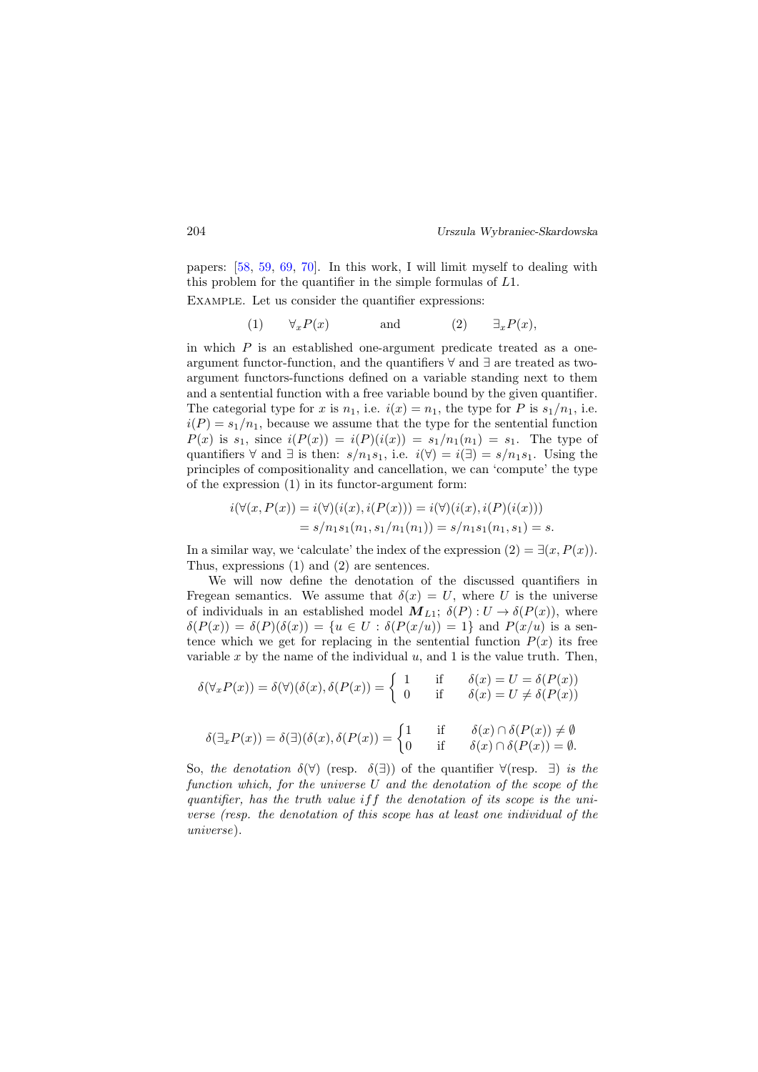papers: [\[58,](#page-25-8) [59,](#page-25-9) [69,](#page-26-5) [70\]](#page-26-3). In this work, I will limit myself to dealing with this problem for the quantifier in the simple formulas of L1.

Example. Let us consider the quantifier expressions:

(1)  $\forall_x P(x)$  and (2)  $\exists_x P(x)$ ,

in which  $P$  is an established one-argument predicate treated as a oneargument functor-function, and the quantifiers ∀ and ∃ are treated as twoargument functors-functions defined on a variable standing next to them and a sentential function with a free variable bound by the given quantifier. The categorial type for x is  $n_1$ , i.e.  $i(x) = n_1$ , the type for P is  $s_1/n_1$ , i.e.  $i(P) = s_1/n_1$ , because we assume that the type for the sentential function  $P(x)$  is  $s_1$ , since  $i(P(x)) = i(P)(i(x)) = s_1/n_1(n_1) = s_1$ . The type of quantifiers  $\forall$  and  $\exists$  is then:  $s/n_1s_1$ , i.e.  $i(\forall) = i(\exists) = s/n_1s_1$ . Using the principles of compositionality and cancellation, we can 'compute' the type of the expression (1) in its functor-argument form:

$$
i(\forall (x, P(x)) = i(\forall)(i(x), i(P(x))) = i(\forall)(i(x), i(P)(i(x)))
$$
  
=  $s/n_1s_1(n_1, s_1/n_1(n_1)) = s/n_1s_1(n_1, s_1) = s.$ 

In a similar way, we 'calculate' the index of the expression  $(2) = \exists (x, P(x))$ . Thus, expressions (1) and (2) are sentences.

We will now define the denotation of the discussed quantifiers in Fregean semantics. We assume that  $\delta(x) = U$ , where U is the universe of individuals in an established model  $M_{L1}$ ;  $\delta(P): U \to \delta(P(x))$ , where  $\delta(P(x)) = \delta(P)(\delta(x)) = \{u \in U : \delta(P(x/u)) = 1\}$  and  $P(x/u)$  is a sentence which we get for replacing in the sentential function  $P(x)$  its free variable x by the name of the individual  $u$ , and 1 is the value truth. Then,

$$
\delta(\forall_x P(x)) = \delta(\forall)(\delta(x), \delta(P(x))) = \begin{cases} 1 & \text{if } \delta(x) = U = \delta(P(x)) \\ 0 & \text{if } \delta(x) = U \neq \delta(P(x)) \end{cases}
$$

$$
\delta(\exists_x P(x)) = \delta(\exists)(\delta(x), \delta(P(x))) = \begin{cases} 1 & \text{if } \delta(x) \cap \delta(P(x)) \neq \emptyset \\ 0 & \text{if } \delta(x) \cap \delta(P(x)) = \emptyset. \end{cases}
$$

So, the denotation  $\delta(\forall)$  (resp.  $\delta(\exists)$ ) of the quantifier  $\forall$ (resp.  $\exists$ ) is the function which, for the universe U and the denotation of the scope of the quantifier, has the truth value iff the denotation of its scope is the universe (resp. the denotation of this scope has at least one individual of the universe).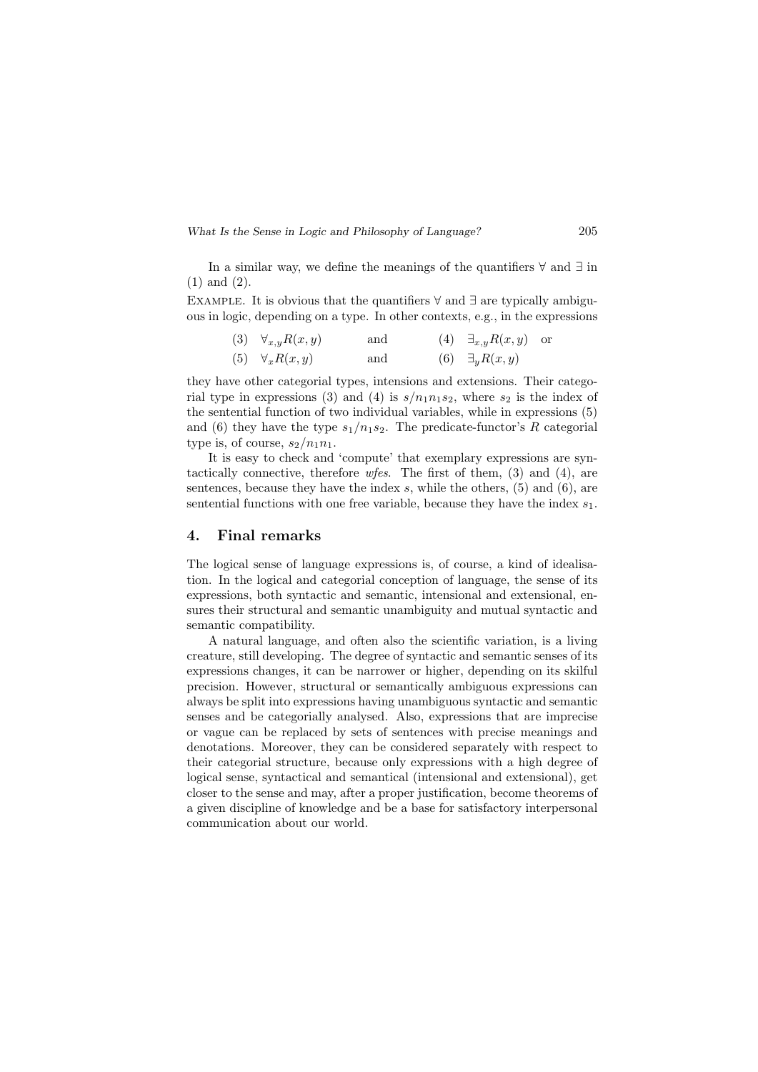In a similar way, we define the meanings of the quantifiers ∀ and ∃ in (1) and (2).

EXAMPLE. It is obvious that the quantifiers  $\forall$  and  $\exists$  are typically ambiguous in logic, depending on a type. In other contexts, e.g., in the expressions

(3) 
$$
\forall_{x,y} R(x,y)
$$
 and (4)  $\exists_{x,y} R(x,y)$  or  
(5)  $\forall_x R(x,y)$  and (6)  $\exists_y R(x,y)$ 

they have other categorial types, intensions and extensions. Their categorial type in expressions (3) and (4) is  $s/n_1n_1s_2$ , where  $s_2$  is the index of the sentential function of two individual variables, while in expressions (5) and (6) they have the type  $s_1/n_1s_2$ . The predicate-functor's R categorial type is, of course,  $s_2/n_1n_1$ .

It is easy to check and 'compute' that exemplary expressions are syntactically connective, therefore  $wfes$ . The first of them, (3) and (4), are sentences, because they have the index  $s$ , while the others, (5) and (6), are sentential functions with one free variable, because they have the index  $s_1$ .

### 4. Final remarks

The logical sense of language expressions is, of course, a kind of idealisation. In the logical and categorial conception of language, the sense of its expressions, both syntactic and semantic, intensional and extensional, ensures their structural and semantic unambiguity and mutual syntactic and semantic compatibility.

A natural language, and often also the scientific variation, is a living creature, still developing. The degree of syntactic and semantic senses of its expressions changes, it can be narrower or higher, depending on its skilful precision. However, structural or semantically ambiguous expressions can always be split into expressions having unambiguous syntactic and semantic senses and be categorially analysed. Also, expressions that are imprecise or vague can be replaced by sets of sentences with precise meanings and denotations. Moreover, they can be considered separately with respect to their categorial structure, because only expressions with a high degree of logical sense, syntactical and semantical (intensional and extensional), get closer to the sense and may, after a proper justification, become theorems of a given discipline of knowledge and be a base for satisfactory interpersonal communication about our world.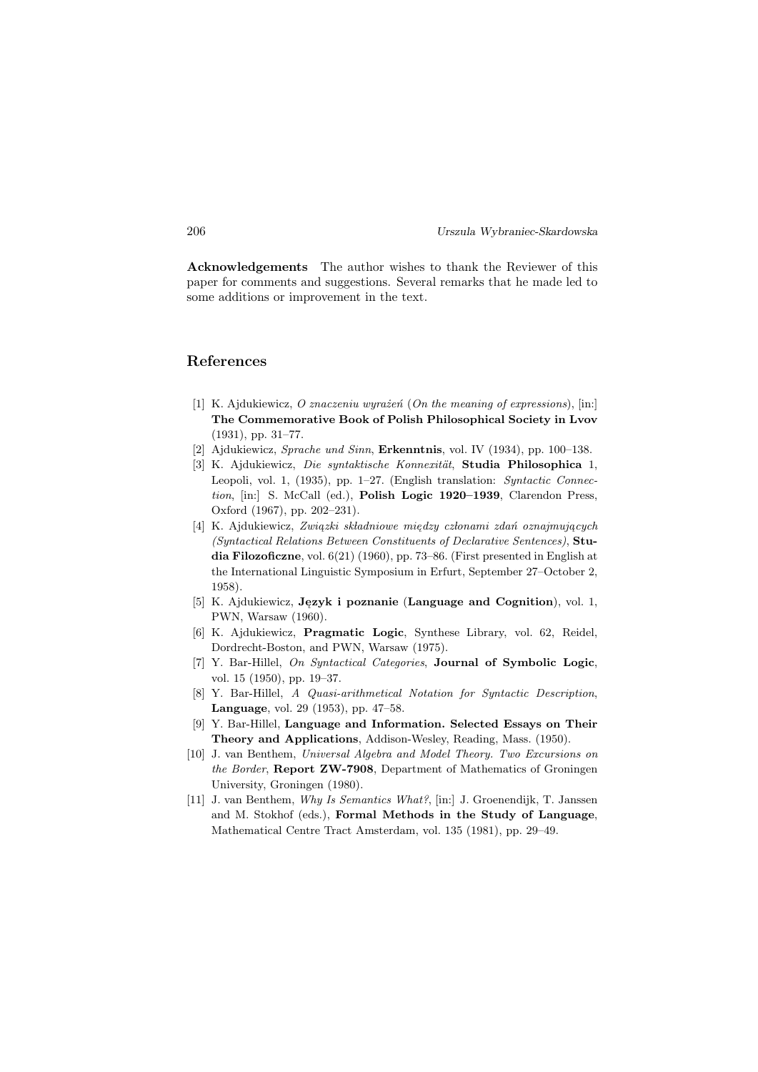Acknowledgements The author wishes to thank the Reviewer of this paper for comments and suggestions. Several remarks that he made led to some additions or improvement in the text.

# <span id="page-21-0"></span>References

- <span id="page-21-6"></span>[1] K. Ajdukiewicz, O znaczeniu wyrażeń (On the meaning of expressions), [in:] The Commemorative Book of Polish Philosophical Society in Lvov (1931), pp. 31–77.
- <span id="page-21-7"></span>[2] Ajdukiewicz, Sprache und Sinn, Erkenntnis, vol. IV (1934), pp. 100–138.
- <span id="page-21-1"></span>[3] K. Ajdukiewicz, Die syntaktische Konnexität, Studia Philosophica 1, Leopoli, vol. 1, (1935), pp. 1–27. (English translation: *Syntactic Connec*tion, [in:] S. McCall (ed.), Polish Logic 1920–1939, Clarendon Press, Oxford (1967), pp. 202–231).
- <span id="page-21-2"></span>[4] K. Ajdukiewicz, Związki składniowe między członami zdań oznajmujących (Syntactical Relations Between Constituents of Declarative Sentences), Studia Filozoficzne, vol.  $6(21)$  (1960), pp. 73–86. (First presented in English at the International Linguistic Symposium in Erfurt, September 27–October 2, 1958).
- [5] K. Ajdukiewicz, Język i poznanie (Language and Cognition), vol. 1, PWN, Warsaw (1960).
- <span id="page-21-3"></span>[6] K. Ajdukiewicz, Pragmatic Logic, Synthese Library, vol. 62, Reidel, Dordrecht-Boston, and PWN, Warsaw (1975).
- <span id="page-21-4"></span>[7] Y. Bar-Hillel, On Syntactical Categories, Journal of Symbolic Logic, vol. 15 (1950), pp. 19–37.
- <span id="page-21-5"></span>[8] Y. Bar-Hillel, A Quasi-arithmetical Notation for Syntactic Description, Language, vol. 29 (1953), pp. 47–58.
- <span id="page-21-8"></span>[9] Y. Bar-Hillel, Language and Information. Selected Essays on Their Theory and Applications, Addison-Wesley, Reading, Mass. (1950).
- <span id="page-21-9"></span>[10] J. van Benthem, Universal Algebra and Model Theory. Two Excursions on the Border, Report ZW-7908, Department of Mathematics of Groningen University, Groningen (1980).
- <span id="page-21-10"></span>[11] J. van Benthem, Why Is Semantics What?, [in:] J. Groenendijk, T. Janssen and M. Stokhof (eds.), Formal Methods in the Study of Language, Mathematical Centre Tract Amsterdam, vol. 135 (1981), pp. 29–49.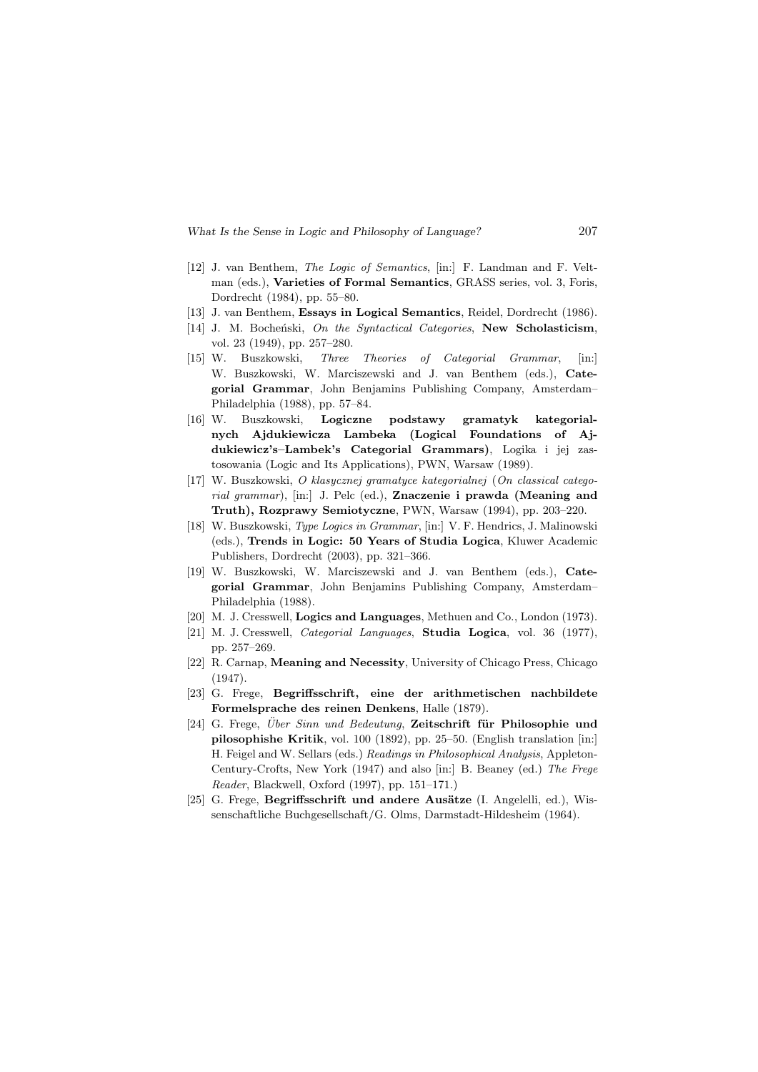- <span id="page-22-11"></span>[12] J. van Benthem, The Logic of Semantics, [in:] F. Landman and F. Veltman (eds.), Varieties of Formal Semantics, GRASS series, vol. 3, Foris, Dordrecht (1984), pp. 55–80.
- <span id="page-22-2"></span>[13] J. van Benthem, Essays in Logical Semantics, Reidel, Dordrecht (1986).
- <span id="page-22-3"></span>[14] J. M. Bocheński, On the Syntactical Categories, New Scholasticism, vol. 23 (1949), pp. 257–280.
- <span id="page-22-4"></span>[15] W. Buszkowski, Three Theories of Categorial Grammar, [in:] W. Buszkowski, W. Marciszewski and J. van Benthem (eds.), Categorial Grammar, John Benjamins Publishing Company, Amsterdam– Philadelphia (1988), pp. 57–84.
- <span id="page-22-5"></span>[16] W. Buszkowski, Logiczne podstawy gramatyk kategorialnych Ajdukiewicza Lambeka (Logical Foundations of Ajdukiewicz's–Lambek's Categorial Grammars), Logika i jej zastosowania (Logic and Its Applications), PWN, Warsaw (1989).
- <span id="page-22-6"></span>[17] W. Buszkowski, O klasycznej gramatyce kategorialnej (On classical categorial grammar), [in:] J. Pelc (ed.), Znaczenie i prawda (Meaning and Truth), Rozprawy Semiotyczne, PWN, Warsaw (1994), pp. 203–220.
- <span id="page-22-7"></span>[18] W. Buszkowski, Type Logics in Grammar, [in:] V. F. Hendrics, J. Malinowski (eds.), Trends in Logic: 50 Years of Studia Logica, Kluwer Academic Publishers, Dordrecht (2003), pp. 321–366.
- <span id="page-22-8"></span>[19] W. Buszkowski, W. Marciszewski and J. van Benthem (eds.), Categorial Grammar, John Benjamins Publishing Company, Amsterdam– Philadelphia (1988).
- <span id="page-22-9"></span>[20] M. J. Cresswell, Logics and Languages, Methuen and Co., London (1973).
- <span id="page-22-0"></span>[21] M. J. Cresswell, Categorial Languages, Studia Logica, vol. 36 (1977), pp. 257–269.
- [22] R. Carnap, Meaning and Necessity, University of Chicago Press, Chicago (1947).
- <span id="page-22-1"></span>[23] G. Frege, Begriffsschrift, eine der arithmetischen nachbildete Formelsprache des reinen Denkens, Halle (1879).
- [24] G. Frege, Über Sinn und Bedeutung, Zeitschrift für Philosophie und pilosophishe Kritik, vol. 100 (1892), pp. 25–50. (English translation [in:] H. Feigel and W. Sellars (eds.) Readings in Philosophical Analysis, Appleton-Century-Crofts, New York (1947) and also [in:] B. Beaney (ed.) The Frege Reader, Blackwell, Oxford (1997), pp. 151–171.)
- <span id="page-22-10"></span>[25] G. Frege, Begriffsschrift und andere Ausätze (I. Angelelli, ed.), Wissenschaftliche Buchgesellschaft/G. Olms, Darmstadt-Hildesheim (1964).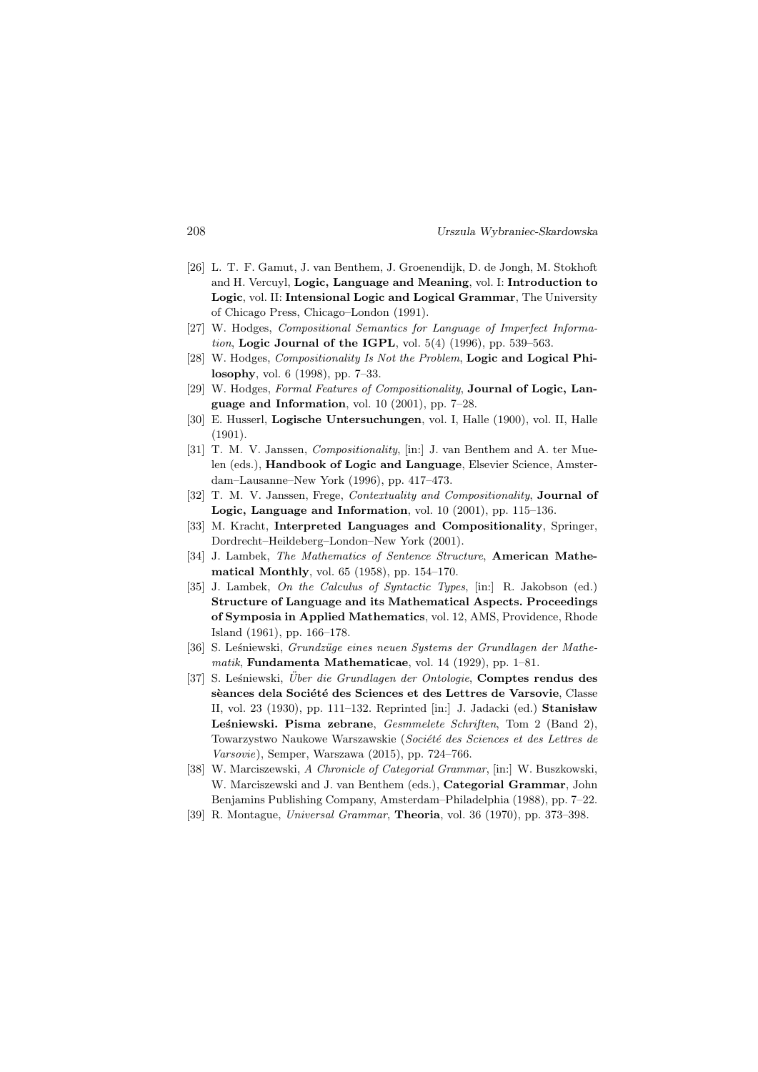- <span id="page-23-9"></span>[26] L. T. F. Gamut, J. van Benthem, J. Groenendijk, D. de Jongh, M. Stokhoft and H. Vercuyl, Logic, Language and Meaning, vol. I: Introduction to Logic, vol. II: Intensional Logic and Logical Grammar, The University of Chicago Press, Chicago–London (1991).
- <span id="page-23-10"></span>[27] W. Hodges, *Compositional Semantics for Language of Imperfect Informa*tion, Logic Journal of the IGPL, vol.  $5(4)$  (1996), pp.  $539-563$ .
- <span id="page-23-11"></span>[28] W. Hodges, *Compositionality Is Not the Problem*, **Logic and Logical Phi**losophy, vol. 6 (1998), pp. 7–33.
- [29] W. Hodges, Formal Features of Compositionality, Journal of Logic, Language and Information, vol. 10  $(2001)$ , pp. 7–28.
- <span id="page-23-0"></span>[30] E. Husserl, Logische Untersuchungen, vol. I, Halle (1900), vol. II, Halle (1901).
- <span id="page-23-7"></span>[31] T. M. V. Janssen, Compositionality, [in:] J. van Benthem and A. ter Muelen (eds.), **Handbook of Logic and Language**, Elsevier Science, Amsterdam–Lausanne–New York (1996), pp. 417–473.
- <span id="page-23-8"></span>[32] T. M. V. Janssen, Frege, *Contextuality and Compositionality*, **Journal of** Logic, Language and Information, vol. 10 (2001), pp. 115–136.
- <span id="page-23-12"></span>[33] M. Kracht, Interpreted Languages and Compositionality, Springer, Dordrecht–Heildeberg–London–New York (2001).
- <span id="page-23-3"></span>[34] J. Lambek, The Mathematics of Sentence Structure, **American Mathe**matical Monthly, vol. 65 (1958), pp. 154–170.
- <span id="page-23-4"></span>[35] J. Lambek, On the Calculus of Syntactic Types, [in:] R. Jakobson (ed.) Structure of Language and its Mathematical Aspects. Proceedings of Symposia in Applied Mathematics, vol. 12, AMS, Providence, Rhode Island (1961), pp. 166–178.
- <span id="page-23-1"></span>[36] S. Leśniewski, Grundzüge eines neuen Systems der Grundlagen der Mathematik, Fundamenta Mathematicae, vol. 14 (1929), pp. 1–81.
- <span id="page-23-2"></span>[37] S. Leśniewski, Uber die Grundlagen der Ontologie, **Comptes rendus des** sèances dela Société des Sciences et des Lettres de Varsovie, Classe II, vol. 23 (1930), pp. 111–132. Reprinted  $\begin{bmatrix} \text{in:} \end{bmatrix}$  J. Jadacki (ed.) **Stanisław** Lesniewski. Pisma zebrane,  $Gesmmelete Schriften$ , Tom 2 (Band 2), Towarzystwo Naukowe Warszawskie (Société des Sciences et des Lettres de Varsovie), Semper, Warszawa (2015), pp. 724–766.
- <span id="page-23-5"></span>[38] W. Marciszewski, A Chronicle of Categorial Grammar, [in:] W. Buszkowski, W. Marciszewski and J. van Benthem (eds.), Categorial Grammar, John Benjamins Publishing Company, Amsterdam–Philadelphia (1988), pp. 7–22.
- <span id="page-23-6"></span>[39] R. Montague, Universal Grammar, Theoria, vol. 36 (1970), pp. 373–398.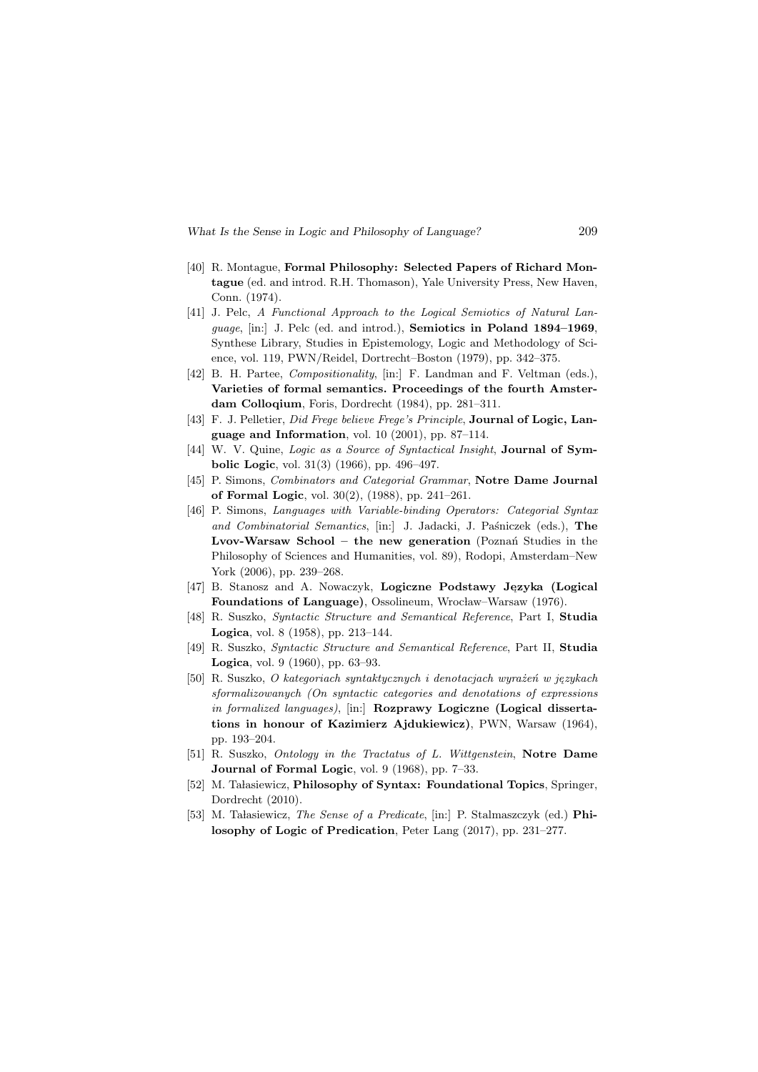- <span id="page-24-5"></span>[40] R. Montague, Formal Philosophy: Selected Papers of Richard Montague (ed. and introd. R.H. Thomason), Yale University Press, New Haven, Conn. (1974).
- <span id="page-24-8"></span>[41] J. Pelc, A Functional Approach to the Logical Semiotics of Natural Language, [in:] J. Pelc (ed. and introd.), Semiotics in Poland 1894–1969, Synthese Library, Studies in Epistemology, Logic and Methodology of Science, vol. 119, PWN/Reidel, Dortrecht–Boston (1979), pp. 342–375.
- <span id="page-24-10"></span>[42] B. H. Partee, *Compositionality*, [in:] F. Landman and F. Veltman (eds.), Varieties of formal semantics. Proceedings of the fourth Amsterdam Colloqium, Foris, Dordrecht (1984), pp. 281–311.
- <span id="page-24-0"></span>[43] F. J. Pelletier, Did Frege believe Frege's Principle, Journal of Logic, Language and Information, vol. 10  $(2001)$ , pp. 87–114.
- [44] W. V. Quine, Logic as a Source of Syntactical Insight, Journal of Symbolic Logic, vol. 31(3) (1966), pp. 496–497.
- <span id="page-24-6"></span>[45] P. Simons, Combinators and Categorial Grammar, Notre Dame Journal of Formal Logic, vol. 30(2), (1988), pp. 241–261.
- <span id="page-24-7"></span>[46] P. Simons, Languages with Variable-binding Operators: Categorial Syntax and Combinatorial Semantics, [in:] J. Jadacki, J. Paśniczek (eds.), The Lvov-Warsaw School – the new generation (Poznań Studies in the Philosophy of Sciences and Humanities, vol. 89), Rodopi, Amsterdam–New York (2006), pp. 239–268.
- <span id="page-24-9"></span>[47] B. Stanosz and A. Nowaczyk, Logiczne Podstawy Jezyka (Logical Foundations of Language), Ossolineum, Wrocław–Warsaw (1976).
- [48] R. Suszko, Syntactic Structure and Semantical Reference, Part I, Studia Logica, vol. 8 (1958), pp. 213–144.
- [49] R. Suszko, Syntactic Structure and Semantical Reference, Part II, Studia **Logica**, vol. 9 (1960), pp. 63–93.
- <span id="page-24-1"></span>[50] R. Suszko, O kategoriach syntaktycznych i denotacjach wyrażeń w językach sformalizowanych (On syntactic categories and denotations of expressions in formalized languages), [in:] **Rozprawy Logiczne** (Logical dissertations in honour of Kazimierz Ajdukiewicz), PWN, Warsaw (1964), pp. 193–204.
- <span id="page-24-2"></span>[51] R. Suszko, Ontology in the Tractatus of L. Wittgenstein, Notre Dame **Journal of Formal Logic, vol. 9 (1968), pp. 7–33.**
- <span id="page-24-3"></span>[52] M. Tałasiewicz, Philosophy of Syntax: Foundational Topics, Springer, Dordrecht (2010).
- <span id="page-24-4"></span>[53] M. Ta lasiewicz, *The Sense of a Predicate*,  $|in:$  P. Stalmaszczyk (ed.) **Phi**losophy of Logic of Predication, Peter Lang (2017), pp. 231–277.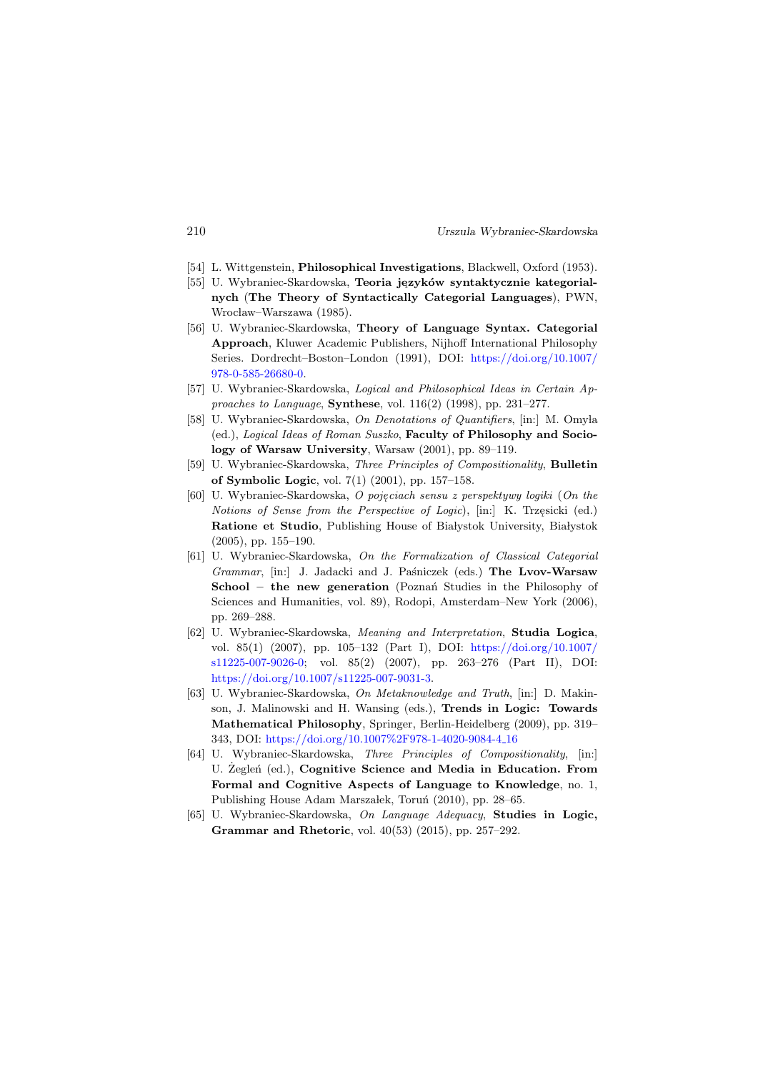- [54] L. Wittgenstein, Philosophical Investigations, Blackwell, Oxford (1953).
- <span id="page-25-3"></span>[55] U. Wybraniec-Skardowska, Teoria jezyków syntaktycznie kategorialnych (The Theory of Syntactically Categorial Languages), PWN, Wrocław–Warszawa (1985).
- <span id="page-25-4"></span>[56] U. Wybraniec-Skardowska, Theory of Language Syntax. Categorial Approach, Kluwer Academic Publishers, Nijhoff International Philosophy Series. Dordrecht–Boston–London (1991), DOI: [https://doi.org/10.1007/](https://doi.org/10.1007/978-0-585-26680-0) [978-0-585-26680-0.](https://doi.org/10.1007/978-0-585-26680-0)
- <span id="page-25-1"></span>[57] U. Wybraniec-Skardowska, Logical and Philosophical Ideas in Certain Approaches to Language, Synthese, vol.  $116(2)$  (1998), pp. 231–277.
- <span id="page-25-8"></span>[58] U. Wybraniec-Skardowska, On Denotations of Quantifiers, [in:] M. Omyla (ed.), Logical Ideas of Roman Suszko, Faculty of Philosophy and Sociology of Warsaw University, Warsaw (2001), pp. 89–119.
- <span id="page-25-9"></span>[59] U. Wybraniec-Skardowska, Three Principles of Compositionality, Bulletin of Symbolic Logic, vol.  $7(1)$   $(2001)$ , pp.  $157-158$ .
- [60] U. Wybraniec-Skardowska, O pojeciach sensu z perspektywy logiki (On the Notions of Sense from the Perspective of Logic), [in:] K. Trzęsicki (ed.) Ratione et Studio, Publishing House of Białystok University, Białystok (2005), pp. 155–190.
- <span id="page-25-6"></span>[61] U. Wybraniec-Skardowska, On the Formalization of Classical Categorial Grammar, [in:] J. Jadacki and J. Paśniczek (eds.) The Lvov-Warsaw School – the new generation (Poznań Studies in the Philosophy of Sciences and Humanities, vol. 89), Rodopi, Amsterdam–New York (2006), pp. 269–288.
- <span id="page-25-2"></span>[62] U. Wybraniec-Skardowska, Meaning and Interpretation, Studia Logica, vol. 85(1) (2007), pp. 105–132 (Part I), DOI: [https://doi.org/10.1007/](https://doi.org/10.1007/s11225-007-9026-0) [s11225-007-9026-0;](https://doi.org/10.1007/s11225-007-9026-0) vol. 85(2) (2007), pp. 263–276 (Part II), DOI: [https://doi.org/10.1007/s11225-007-9031-3.](https://doi.org/10.1007/s11225-007-9031-3)
- <span id="page-25-5"></span>[63] U. Wybraniec-Skardowska, On Metaknowledge and Truth, [in:] D. Makinson, J. Malinowski and H. Wansing (eds.), Trends in Logic: Towards Mathematical Philosophy, Springer, Berlin-Heidelberg (2009), pp. 319– 343, DOI: [https://doi.org/10.1007%2F978-1-4020-9084-4](https://doi.org/10.1007%2F978-1-4020-9084-4_16) 16
- <span id="page-25-7"></span>[64] U. Wybraniec-Skardowska, Three Principles of Compositionality, [in:] U. Zeglen<sup> (ed.)</sup>, Cognitive Science and Media in Education. From Formal and Cognitive Aspects of Language to Knowledge, no. 1, Publishing House Adam Marszałek, Toruń (2010), pp. 28–65.
- <span id="page-25-0"></span> $[65]$  U. Wybraniec-Skardowska, On Language Adequacy, **Studies in Logic,** Grammar and Rhetoric, vol. 40(53) (2015), pp. 257–292.